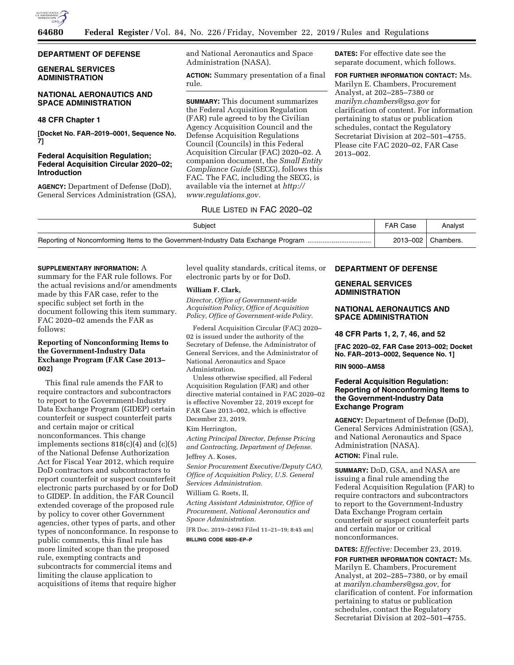

# **DEPARTMENT OF DEFENSE**

## **GENERAL SERVICES ADMINISTRATION**

## **NATIONAL AERONAUTICS AND SPACE ADMINISTRATION**

# **48 CFR Chapter 1**

**[Docket No. FAR–2019–0001, Sequence No. 7]** 

# **Federal Acquisition Regulation; Federal Acquisition Circular 2020–02; Introduction**

**AGENCY:** Department of Defense (DoD), General Services Administration (GSA), and National Aeronautics and Space Administration (NASA).

**ACTION:** Summary presentation of a final rule.

**SUMMARY:** This document summarizes the Federal Acquisition Regulation (FAR) rule agreed to by the Civilian Agency Acquisition Council and the Defense Acquisition Regulations Council (Councils) in this Federal Acquisition Circular (FAC) 2020–02. A companion document, the *Small Entity Compliance Guide* (SECG), follows this FAC. The FAC, including the SECG, is available via the internet at *[http://](http://www.regulations.gov) [www.regulations.gov.](http://www.regulations.gov)* 

# RULE LISTED IN FAC 2020–02

**DATES:** For effective date see the separate document, which follows.

**FOR FURTHER INFORMATION CONTACT:** Ms. Marilyn E. Chambers, Procurement Analyst, at 202–285–7380 or *[marilyn.chambers@gsa.gov](mailto:marilyn.chambers@gsa.gov)* for clarification of content. For information pertaining to status or publication schedules, contact the Regulatory Secretariat Division at 202–501–4755. Please cite FAC 2020–02, FAR Case 2013–002.

| Subject                                                                           | <b>FAR Case</b> | Analyst              |
|-----------------------------------------------------------------------------------|-----------------|----------------------|
| Reporting of Noncomforming Items to the Government-Industry Data Exchange Program |                 | 2013-002   Chambers. |

# **SUPPLEMENTARY INFORMATION:** A

summary for the FAR rule follows. For the actual revisions and/or amendments made by this FAR case, refer to the specific subject set forth in the document following this item summary. FAC 2020–02 amends the FAR as follows:

# **Reporting of Nonconforming Items to the Government-Industry Data Exchange Program (FAR Case 2013– 002)**

This final rule amends the FAR to require contractors and subcontractors to report to the Government-Industry Data Exchange Program (GIDEP) certain counterfeit or suspect counterfeit parts and certain major or critical nonconformances. This change implements sections  $818(c)(4)$  and  $(c)(5)$ of the National Defense Authorization Act for Fiscal Year 2012, which require DoD contractors and subcontractors to report counterfeit or suspect counterfeit electronic parts purchased by or for DoD to GIDEP. In addition, the FAR Council extended coverage of the proposed rule by policy to cover other Government agencies, other types of parts, and other types of nonconformance. In response to public comments, this final rule has more limited scope than the proposed rule, exempting contracts and subcontracts for commercial items and limiting the clause application to acquisitions of items that require higher

level quality standards, critical items, or electronic parts by or for DoD.

## **William F. Clark,**

*Director, Office of Government-wide Acquisition Policy, Office of Acquisition Policy, Office of Government-wide Policy.* 

Federal Acquisition Circular (FAC) 2020– 02 is issued under the authority of the Secretary of Defense, the Administrator of General Services, and the Administrator of National Aeronautics and Space Administration.

Unless otherwise specified, all Federal Acquisition Regulation (FAR) and other directive material contained in FAC 2020–02 is effective November 22, 2019 except for FAR Case 2013–002, which is effective December 23, 2019.

#### Kim Herrington,

*Acting Principal Director, Defense Pricing and Contracting, Department of Defense.*  Jeffrey A. Koses,

*Senior Procurement Executive/Deputy CAO, Office of Acquisition Policy, U.S. General Services Administration.* 

William G. Roets, II,

*Acting Assistant Administrator, Office of Procurement, National Aeronautics and Space Administration.* 

[FR Doc. 2019–24963 Filed 11–21–19; 8:45 am] **BILLING CODE 6820–EP–P** 

# **DEPARTMENT OF DEFENSE**

## **GENERAL SERVICES ADMINISTRATION**

# **NATIONAL AERONAUTICS AND SPACE ADMINISTRATION**

**48 CFR Parts 1, 2, 7, 46, and 52** 

**[FAC 2020–02, FAR Case 2013–002; Docket No. FAR–2013–0002, Sequence No. 1]** 

## **RIN 9000–AM58**

## **Federal Acquisition Regulation: Reporting of Nonconforming Items to the Government-Industry Data Exchange Program**

**AGENCY:** Department of Defense (DoD), General Services Administration (GSA), and National Aeronautics and Space Administration (NASA). **ACTION:** Final rule.

**SUMMARY:** DoD, GSA, and NASA are issuing a final rule amending the Federal Acquisition Regulation (FAR) to require contractors and subcontractors to report to the Government-Industry Data Exchange Program certain counterfeit or suspect counterfeit parts and certain major or critical nonconformances.

**DATES:** *Effective:* December 23, 2019. **FOR FURTHER INFORMATION CONTACT:** Ms. Marilyn E. Chambers, Procurement Analyst, at 202–285–7380, or by email at *[marilyn.chambers@gsa.gov,](mailto:marilyn.chambers@gsa.gov)* for clarification of content. For information pertaining to status or publication schedules, contact the Regulatory Secretariat Division at 202–501–4755.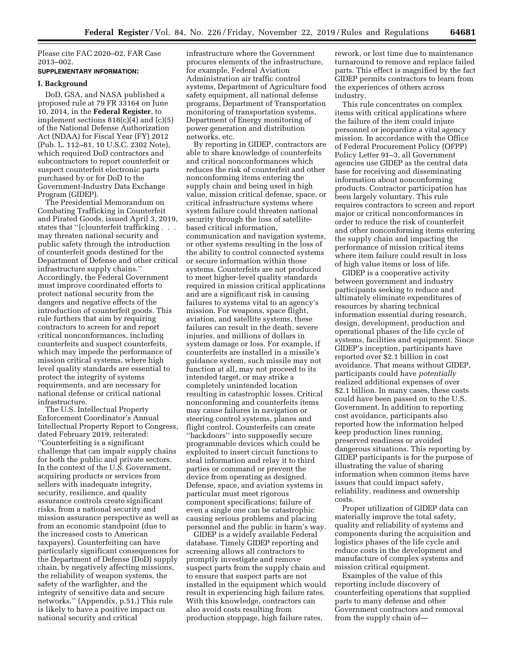Please cite FAC 2020–02, FAR Case 2013–002.

# **SUPPLEMENTARY INFORMATION:**

#### **I. Background**

DoD, GSA, and NASA published a proposed rule at 79 FR 33164 on June 10, 2014, in the **Federal Register**, to implement sections  $818(c)(4)$  and  $(c)(5)$ of the National Defense Authorization Act (NDAA) for Fiscal Year (FY) 2012 (Pub. L. 112–81, 10 U.S.C. 2302 Note), which required DoD contractors and subcontractors to report counterfeit or suspect counterfeit electronic parts purchased by or for DoD to the Government-Industry Data Exchange Program (GIDEP).

The Presidential Memorandum on Combating Trafficking in Counterfeit and Pirated Goods, issued April 3, 2019, states that ''[c]ounterfeit trafficking . . . may threaten national security and public safety through the introduction of counterfeit goods destined for the Department of Defense and other critical infrastructure supply chains.'' Accordingly, the Federal Government must improve coordinated efforts to protect national security from the dangers and negative effects of the introduction of counterfeit goods. This rule furthers that aim by requiring contractors to screen for and report critical nonconformances, including counterfeits and suspect counterfeits, which may impede the performance of mission critical systems, where high level quality standards are essential to protect the integrity of systems requirements, and are necessary for national defense or critical national infrastructure.

The U.S. Intellectual Property Enforcement Coordinator's Annual Intellectual Property Report to Congress, dated February 2019, reiterated: ''Counterfeiting is a significant challenge that can impair supply chains for both the public and private sectors. In the context of the U.S. Government, acquiring products or services from sellers with inadequate integrity, security, resilience, and quality assurance controls create significant risks, from a national security and mission assurance perspective as well as from an economic standpoint (due to the increased costs to American taxpayers). Counterfeiting can have particularly significant consequences for the Department of Defense (DoD) supply chain, by negatively affecting missions, the reliability of weapon systems, the safety of the warfighter, and the integrity of sensitive data and secure networks.'' (Appendix, p.51.) This rule is likely to have a positive impact on national security and critical

infrastructure where the Government procures elements of the infrastructure, for example, Federal Aviation Administration air traffic control systems, Department of Agriculture food safety equipment, all national defense programs, Department of Transportation monitoring of transportation systems, Department of Energy monitoring of power generation and distribution networks, etc.

By reporting in GIDEP, contractors are able to share knowledge of counterfeits and critical nonconformances which reduces the risk of counterfeit and other nonconforming items entering the supply chain and being used in high value, mission critical defense, space, or critical infrastructure systems where system failure could threaten national security through the loss of satellitebased critical information, communication and navigation systems, or other systems resulting in the loss of the ability to control connected systems or secure information within those systems. Counterfeits are not produced to meet higher-level quality standards required in mission critical applications and are a significant risk in causing failures to systems vital to an agency's mission. For weapons, space flight, aviation, and satellite systems, these failures can result in the death, severe injuries, and millions of dollars in system damage or loss. For example, if counterfeits are installed in a missile's guidance system, such missile may not function at all, may not proceed to its intended target, or may strike a completely unintended location resulting in catastrophic losses. Critical nonconforming and counterfeits items may cause failures in navigation or steering control systems, planes and flight control. Counterfeits can create ''backdoors'' into supposedly secure programmable devices which could be exploited to insert circuit functions to steal information and relay it to third parties or command or prevent the device from operating as designed. Defense, space, and aviation systems in particular must meet rigorous component specifications; failure of even a single one can be catastrophic causing serious problems and placing personnel and the public in harm's way.

GIDEP is a widely available Federal database. Timely GIDEP reporting and screening allows all contractors to promptly investigate and remove suspect parts from the supply chain and to ensure that suspect parts are not installed in the equipment which would result in experiencing high failure rates. With this knowledge, contractors can also avoid costs resulting from production stoppage, high failure rates,

rework, or lost time due to maintenance turnaround to remove and replace failed parts. This effect is magnified by the fact GIDEP permits contractors to learn from the experiences of others across industry.

This rule concentrates on complex items with critical applications where the failure of the item could injure personnel or jeopardize a vital agency mission. In accordance with the Office of Federal Procurement Policy (OFPP) Policy Letter 91–3, all Government agencies use GIDEP as the central data base for receiving and disseminating information about nonconforming products. Contractor participation has been largely voluntary. This rule requires contractors to screen and report major or critical nonconformances in order to reduce the risk of counterfeit and other nonconforming items entering the supply chain and impacting the performance of mission critical items where item failure could result in loss of high value items or loss of life.

GIDEP is a cooperative activity between government and industry participants seeking to reduce and ultimately eliminate expenditures of resources by sharing technical information essential during research, design, development, production and operational phases of the life cycle of systems, facilities and equipment. Since GIDEP's inception, participants have reported over \$2.1 billion in cost avoidance. That means without GIDEP, participants could have *potentially*  realized additional expenses of over \$2.1 billion. In many cases, these costs could have been passed on to the U.S. Government. In addition to reporting cost avoidance, participants also reported how the information helped keep production lines running, preserved readiness or avoided dangerous situations. This reporting by GIDEP participants is for the purpose of illustrating the value of sharing information when common items have issues that could impact safety, reliability, readiness and ownership costs.

Proper utilization of GIDEP data can materially improve the total safety, quality and reliability of systems and components during the acquisition and logistics phases of the life cycle and reduce costs in the development and manufacture of complex systems and mission critical equipment.

Examples of the value of this reporting include discovery of counterfeiting operations that supplied parts to many defense and other Government contractors and removal from the supply chain of—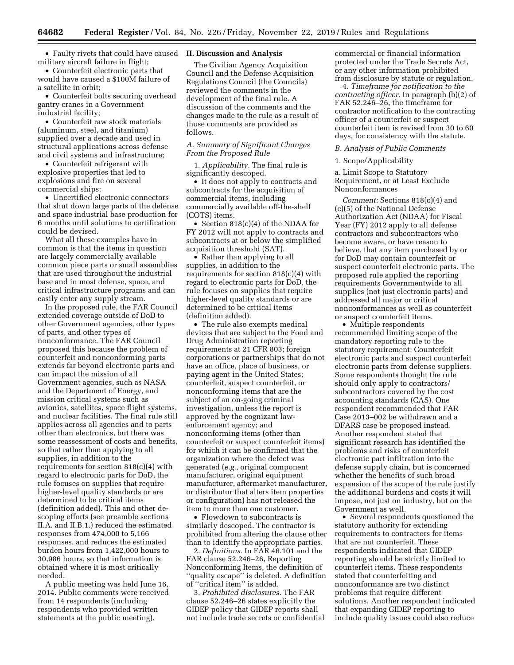• Faulty rivets that could have caused **II. Discussion and Analysis**  military aircraft failure in flight;

• Counterfeit electronic parts that would have caused a \$100M failure of a satellite in orbit;

• Counterfeit bolts securing overhead gantry cranes in a Government industrial facility;

• Counterfeit raw stock materials (aluminum, steel, and titanium) supplied over a decade and used in structural applications across defense and civil systems and infrastructure;

• Counterfeit refrigerant with explosive properties that led to explosions and fire on several commercial ships;

• Uncertified electronic connectors that shut down large parts of the defense and space industrial base production for 6 months until solutions to certification could be devised.

What all these examples have in common is that the items in question are largely commercially available common piece parts or small assemblies that are used throughout the industrial base and in most defense, space, and critical infrastructure programs and can easily enter any supply stream.

In the proposed rule, the FAR Council extended coverage outside of DoD to other Government agencies, other types of parts, and other types of nonconformance. The FAR Council proposed this because the problem of counterfeit and nonconforming parts extends far beyond electronic parts and can impact the mission of all Government agencies, such as NASA and the Department of Energy, and mission critical systems such as avionics, satellites, space flight systems, and nuclear facilities. The final rule still applies across all agencies and to parts other than electronics, but there was some reassessment of costs and benefits, so that rather than applying to all supplies, in addition to the requirements for section 818(c)(4) with regard to electronic parts for DoD, the rule focuses on supplies that require higher-level quality standards or are determined to be critical items (definition added). This and other descoping efforts (see preamble sections II.A. and II.B.1.) reduced the estimated responses from 474,000 to 5,166 responses, and reduces the estimated burden hours from 1,422,000 hours to 30,986 hours, so that information is obtained where it is most critically needed.

A public meeting was held June 16, 2014. Public comments were received from 14 respondents (including respondents who provided written statements at the public meeting).

The Civilian Agency Acquisition Council and the Defense Acquisition Regulations Council (the Councils) reviewed the comments in the development of the final rule. A discussion of the comments and the changes made to the rule as a result of those comments are provided as follows.

## *A. Summary of Significant Changes From the Proposed Rule*

1. *Applicability.* The final rule is significantly descoped.

• It does not apply to contracts and subcontracts for the acquisition of commercial items, including commercially available off-the-shelf (COTS) items.

• Section 818(c)(4) of the NDAA for FY 2012 will not apply to contracts and subcontracts at or below the simplified acquisition threshold (SAT).

• Rather than applying to all supplies, in addition to the requirements for section 818(c)(4) with regard to electronic parts for DoD, the rule focuses on supplies that require higher-level quality standards or are determined to be critical items (definition added).

• The rule also exempts medical devices that are subject to the Food and Drug Administration reporting requirements at 21 CFR 803; foreign corporations or partnerships that do not have an office, place of business, or paying agent in the United States; counterfeit, suspect counterfeit, or nonconforming items that are the subject of an on-going criminal investigation, unless the report is approved by the cognizant lawenforcement agency; and nonconforming items (other than counterfeit or suspect counterfeit items) for which it can be confirmed that the organization where the defect was generated (*e.g.,* original component manufacturer, original equipment manufacturer, aftermarket manufacturer, or distributor that alters item properties or configuration) has not released the item to more than one customer.

• Flowdown to subcontracts is similarly descoped. The contractor is prohibited from altering the clause other than to identify the appropriate parties.

2. *Definitions.* In FAR 46.101 and the FAR clause 52.246–26, Reporting Nonconforming Items, the definition of ''quality escape'' is deleted. A definition of ''critical item'' is added.

3. *Prohibited disclosures.* The FAR clause 52.246–26 states explicitly the GIDEP policy that GIDEP reports shall not include trade secrets or confidential commercial or financial information protected under the Trade Secrets Act, or any other information prohibited from disclosure by statute or regulation.

4. *Timeframe for notification to the contracting officer.* In paragraph (b)(2) of FAR 52.246–26, the timeframe for contractor notification to the contracting officer of a counterfeit or suspect counterfeit item is revised from 30 to 60 days, for consistency with the statute.

## *B. Analysis of Public Comments*

### 1. Scope/Applicability

a. Limit Scope to Statutory Requirement, or at Least Exclude Nonconformances

*Comment:* Sections 818(c)(4) and (c)(5) of the National Defense Authorization Act (NDAA) for Fiscal Year (FY) 2012 apply to all defense contractors and subcontractors who become aware, or have reason to believe, that any item purchased by or for DoD may contain counterfeit or suspect counterfeit electronic parts. The proposed rule applied the reporting requirements Governmentwide to all supplies (not just electronic parts) and addressed all major or critical nonconformances as well as counterfeit or suspect counterfeit items.

• Multiple respondents recommended limiting scope of the mandatory reporting rule to the statutory requirement: Counterfeit electronic parts and suspect counterfeit electronic parts from defense suppliers. Some respondents thought the rule should only apply to contractors/ subcontractors covered by the cost accounting standards (CAS). One respondent recommended that FAR Case 2013–002 be withdrawn and a DFARS case be proposed instead. Another respondent stated that significant research has identified the problems and risks of counterfeit electronic part infiltration into the defense supply chain, but is concerned whether the benefits of such broad expansion of the scope of the rule justify the additional burdens and costs it will impose, not just on industry, but on the Government as well.

• Several respondents questioned the statutory authority for extending requirements to contractors for items that are not counterfeit. These respondents indicated that GIDEP reporting should be strictly limited to counterfeit items. These respondents stated that counterfeiting and nonconformance are two distinct problems that require different solutions. Another respondent indicated that expanding GIDEP reporting to include quality issues could also reduce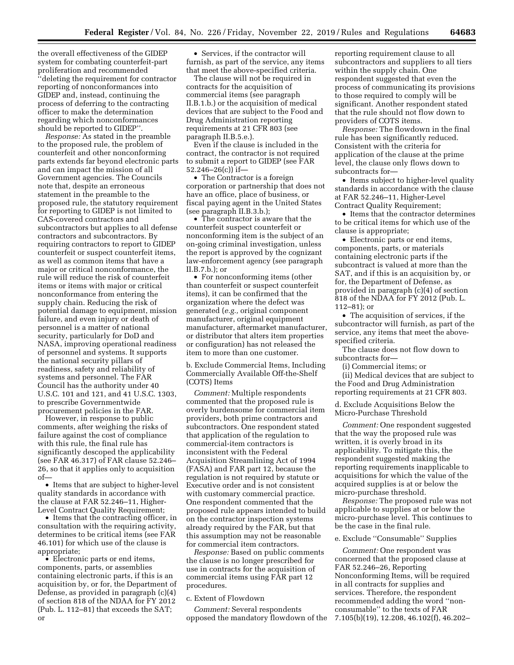the overall effectiveness of the GIDEP system for combating counterfeit-part proliferation and recommended ''deleting the requirement for contractor reporting of nonconformances into GIDEP and, instead, continuing the process of deferring to the contracting officer to make the determination regarding which nonconformances should be reported to GIDEP''.

*Response:* As stated in the preamble to the proposed rule, the problem of counterfeit and other nonconforming parts extends far beyond electronic parts and can impact the mission of all Government agencies. The Councils note that, despite an erroneous statement in the preamble to the proposed rule, the statutory requirement for reporting to GIDEP is not limited to CAS-covered contractors and subcontractors but applies to all defense contractors and subcontractors. By requiring contractors to report to GIDEP counterfeit or suspect counterfeit items, as well as common items that have a major or critical nonconformance, the rule will reduce the risk of counterfeit items or items with major or critical nonconformance from entering the supply chain. Reducing the risk of potential damage to equipment, mission failure, and even injury or death of personnel is a matter of national security, particularly for DoD and NASA, improving operational readiness of personnel and systems. It supports the national security pillars of readiness, safety and reliability of systems and personnel. The FAR Council has the authority under 40 U.S.C. 101 and 121, and 41 U.S.C. 1303, to prescribe Governmentwide procurement policies in the FAR.

However, in response to public comments, after weighing the risks of failure against the cost of compliance with this rule, the final rule has significantly descoped the applicability (see FAR 46.317) of FAR clause 52.246– 26, so that it applies only to acquisition of—

• Items that are subject to higher-level quality standards in accordance with the clause at FAR 52.246–11, Higher-Level Contract Quality Requirement;

• Items that the contracting officer, in consultation with the requiring activity, determines to be critical items (see FAR 46.101) for which use of the clause is appropriate;

• Electronic parts or end items, components, parts, or assemblies containing electronic parts, if this is an acquisition by, or for, the Department of Defense, as provided in paragraph (c)(4) of section 818 of the NDAA for FY 2012 (Pub. L. 112–81) that exceeds the SAT; or

• Services, if the contractor will furnish, as part of the service, any items that meet the above-specified criteria.

The clause will not be required in contracts for the acquisition of commercial items (see paragraph II.B.1.b.) or the acquisition of medical devices that are subject to the Food and Drug Administration reporting requirements at 21 CFR 803 (see paragraph II.B.5.e.).

Even if the clause is included in the contract, the contractor is not required to submit a report to GIDEP (see FAR  $52.246 - 26(c)$ ) if

• The Contractor is a foreign corporation or partnership that does not have an office, place of business, or fiscal paying agent in the United States (see paragraph II.B.3.b.);

• The contractor is aware that the counterfeit suspect counterfeit or nonconforming item is the subject of an on-going criminal investigation, unless the report is approved by the cognizant law-enforcement agency (see paragraph II.B.7.b.); or

• For nonconforming items (other than counterfeit or suspect counterfeit items), it can be confirmed that the organization where the defect was generated (*e.g.,* original component manufacturer, original equipment manufacturer, aftermarket manufacturer, or distributor that alters item properties or configuration) has not released the item to more than one customer.

b. Exclude Commercial Items, Including Commercially Available Off-the-Shelf (COTS) Items

*Comment:* Multiple respondents commented that the proposed rule is overly burdensome for commercial item providers, both prime contractors and subcontractors. One respondent stated that application of the regulation to commercial-item contractors is inconsistent with the Federal Acquisition Streamlining Act of 1994 (FASA) and FAR part 12, because the regulation is not required by statute or Executive order and is not consistent with customary commercial practice. One respondent commented that the proposed rule appears intended to build on the contractor inspection systems already required by the FAR, but that this assumption may not be reasonable for commercial item contractors.

*Response:* Based on public comments the clause is no longer prescribed for use in contracts for the acquisition of commercial items using FAR part 12 procedures.

## c. Extent of Flowdown

*Comment:* Several respondents opposed the mandatory flowdown of the reporting requirement clause to all subcontractors and suppliers to all tiers within the supply chain. One respondent suggested that even the process of communicating its provisions to those required to comply will be significant. Another respondent stated that the rule should not flow down to providers of COTS items.

*Response:* The flowdown in the final rule has been significantly reduced. Consistent with the criteria for application of the clause at the prime level, the clause only flows down to subcontracts for—

• Items subject to higher-level quality standards in accordance with the clause at FAR 52.246–11, Higher-Level Contract Quality Requirement;

• Items that the contractor determines to be critical items for which use of the clause is appropriate;

• Electronic parts or end items, components, parts, or materials containing electronic parts if the subcontract is valued at more than the SAT, and if this is an acquisition by, or for, the Department of Defense, as provided in paragraph (c)(4) of section 818 of the NDAA for FY 2012 (Pub. L. 112–81); or

• The acquisition of services, if the subcontractor will furnish, as part of the service, any items that meet the abovespecified criteria.

The clause does not flow down to subcontracts for—

(i) Commercial items; or

(ii) Medical devices that are subject to the Food and Drug Administration reporting requirements at 21 CFR 803.

d. Exclude Acquisitions Below the Micro-Purchase Threshold

*Comment:* One respondent suggested that the way the proposed rule was written, it is overly broad in its applicability. To mitigate this, the respondent suggested making the reporting requirements inapplicable to acquisitions for which the value of the acquired supplies is at or below the micro-purchase threshold.

*Response:* The proposed rule was not applicable to supplies at or below the micro-purchase level. This continues to be the case in the final rule.

## e. Exclude ''Consumable'' Supplies

*Comment:* One respondent was concerned that the proposed clause at FAR 52.246–26, Reporting Nonconforming Items, will be required in all contracts for supplies and services. Therefore, the respondent recommended adding the word ''nonconsumable'' to the texts of FAR 7.105(b)(19), 12.208, 46.102(f), 46.202–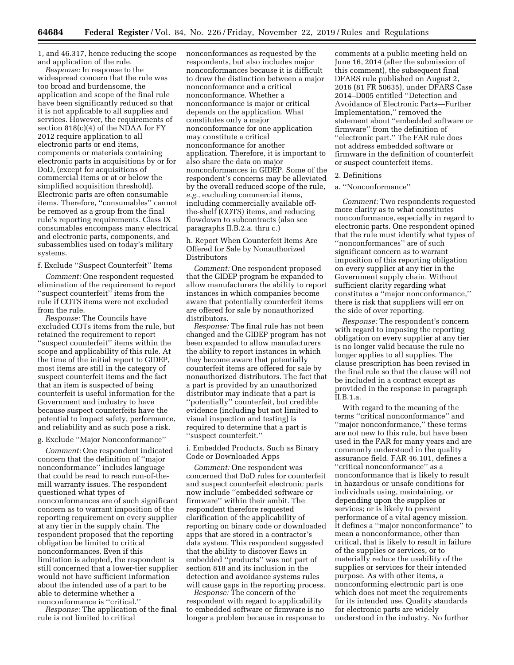1, and 46.317, hence reducing the scope and application of the rule.

*Response:* In response to the widespread concern that the rule was too broad and burdensome, the application and scope of the final rule have been significantly reduced so that it is not applicable to all supplies and services. However, the requirements of section  $818(c)(4)$  of the NDAA for FY 2012 require application to all electronic parts or end items, components or materials containing electronic parts in acquisitions by or for DoD, (except for acquisitions of commercial items or at or below the simplified acquisition threshold). Electronic parts are often consumable items. Therefore, ''consumables'' cannot be removed as a group from the final rule's reporting requirements. Class IX consumables encompass many electrical and electronic parts, components, and subassemblies used on today's military systems.

f. Exclude ''Suspect Counterfeit'' Items

*Comment:* One respondent requested elimination of the requirement to report ''suspect counterfeit'' items from the rule if COTS items were not excluded from the rule.

*Response:* The Councils have excluded COTs items from the rule, but retained the requirement to report ''suspect counterfeit'' items within the scope and applicability of this rule. At the time of the initial report to GIDEP, most items are still in the category of suspect counterfeit items and the fact that an item is suspected of being counterfeit is useful information for the Government and industry to have because suspect counterfeits have the potential to impact safety, performance, and reliability and as such pose a risk.

## g. Exclude ''Major Nonconformance''

*Comment:* One respondent indicated concern that the definition of ''major nonconformance'' includes language that could be read to reach run-of-themill warranty issues. The respondent questioned what types of nonconformances are of such significant concern as to warrant imposition of the reporting requirement on every supplier at any tier in the supply chain. The respondent proposed that the reporting obligation be limited to critical nonconformances. Even if this limitation is adopted, the respondent is still concerned that a lower-tier supplier would not have sufficient information about the intended use of a part to be able to determine whether a nonconformance is ''critical.''

*Response:* The application of the final rule is not limited to critical

nonconformances as requested by the respondents, but also includes major nonconformances because it is difficult to draw the distinction between a major nonconformance and a critical nonconformance. Whether a nonconformance is major or critical depends on the application. What constitutes only a major nonconformance for one application may constitute a critical nonconformance for another application. Therefore, it is important to also share the data on major nonconformances in GIDEP. Some of the respondent's concerns may be alleviated by the overall reduced scope of the rule, *e.g.,* excluding commercial items, including commercially available offthe-shelf (COTS) items, and reducing flowdown to subcontracts (also see paragraphs II.B.2.a. thru c.)

## h. Report When Counterfeit Items Are Offered for Sale by Nonauthorized Distributors

*Comment:* One respondent proposed that the GIDEP program be expanded to allow manufacturers the ability to report instances in which companies become aware that potentially counterfeit items are offered for sale by nonauthorized distributors.

*Response:* The final rule has not been changed and the GIDEP program has not been expanded to allow manufacturers the ability to report instances in which they become aware that potentially counterfeit items are offered for sale by nonauthorized distributors. The fact that a part is provided by an unauthorized distributor may indicate that a part is ''potentially'' counterfeit, but credible evidence (including but not limited to visual inspection and testing) is required to determine that a part is ''suspect counterfeit.''

i. Embedded Products, Such as Binary Code or Downloaded Apps

*Comment:* One respondent was concerned that DoD rules for counterfeit and suspect counterfeit electronic parts now include ''embedded software or firmware'' within their ambit. The respondent therefore requested clarification of the applicability of reporting on binary code or downloaded apps that are stored in a contractor's data system. This respondent suggested that the ability to discover flaws in embedded ''products'' was not part of section 818 and its inclusion in the detection and avoidance systems rules will cause gaps in the reporting process.

*Response:* The concern of the respondent with regard to applicability to embedded software or firmware is no longer a problem because in response to

comments at a public meeting held on June 16, 2014 (after the submission of this comment), the subsequent final DFARS rule published on August 2, 2016 (81 FR 50635), under DFARS Case 2014–D005 entitled ''Detection and Avoidance of Electronic Parts—Further Implementation,'' removed the statement about ''embedded software or firmware'' from the definition of ''electronic part.'' The FAR rule does not address embedded software or firmware in the definition of counterfeit or suspect counterfeit items.

#### 2. Definitions

a. ''Nonconformance''

*Comment:* Two respondents requested more clarity as to what constitutes nonconformance, especially in regard to electronic parts. One respondent opined that the rule must identify what types of ''nonconformances'' are of such significant concern as to warrant imposition of this reporting obligation on every supplier at any tier in the Government supply chain. Without sufficient clarity regarding what constitutes a ''major nonconformance,'' there is risk that suppliers will err on the side of over reporting.

*Response:* The respondent's concern with regard to imposing the reporting obligation on every supplier at any tier is no longer valid because the rule no longer applies to all supplies. The clause prescription has been revised in the final rule so that the clause will not be included in a contract except as provided in the response in paragraph II.B.1.a.

With regard to the meaning of the terms ''critical nonconformance'' and ''major nonconformance,'' these terms are not new to this rule, but have been used in the FAR for many years and are commonly understood in the quality assurance field. FAR 46.101, defines a ''critical nonconformance'' as a nonconformance that is likely to result in hazardous or unsafe conditions for individuals using, maintaining, or depending upon the supplies or services; or is likely to prevent performance of a vital agency mission. It defines a ''major nonconformance'' to mean a nonconformance, other than critical, that is likely to result in failure of the supplies or services, or to materially reduce the usability of the supplies or services for their intended purpose. As with other items, a nonconforming electronic part is one which does not meet the requirements for its intended use. Quality standards for electronic parts are widely understood in the industry. No further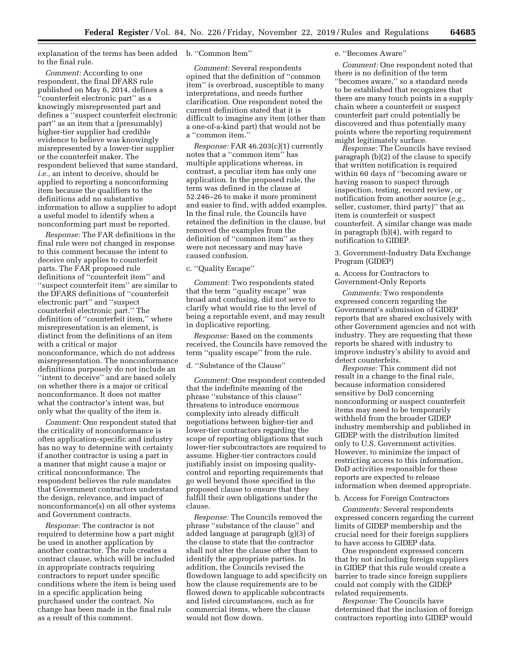explanation of the terms has been added b. ''Common Item'' to the final rule.

*Comment:* According to one respondent, the final DFARS rule published on May 6, 2014, defines a 'counterfeit electronic part" as a knowingly misrepresented part and defines a ''suspect counterfeit electronic part'' as an item that a (presumably) higher-tier supplier had credible evidence to believe was knowingly misrepresented by a lower-tier supplier or the counterfeit maker. The respondent believed that same standard, *i.e.,* an intent to deceive, should be applied to reporting a nonconforming item because the qualifiers to the definitions add no substantive information to allow a supplier to adopt a useful model to identify when a nonconforming part must be reported.

*Response:* The FAR definitions in the final rule were not changed in response to this comment because the intent to deceive only applies to counterfeit parts. The FAR proposed rule definitions of ''counterfeit item'' and ''suspect counterfeit item'' are similar to the DFARS definitions of ''counterfeit electronic part'' and ''suspect counterfeit electronic part.'' The definition of ''counterfeit item,'' where misrepresentation is an element, is distinct from the definitions of an item with a critical or major nonconformance, which do not address misrepresentation. The nonconformance definitions purposely do not include an "intent to deceive" and are based solely on whether there is a major or critical nonconformance. It does not matter what the contractor's intent was, but only what the quality of the item is.

*Comment:* One respondent stated that the criticality of nonconformance is often application-specific and industry has no way to determine with certainty if another contractor is using a part in a manner that might cause a major or critical nonconformance. The respondent believes the rule mandates that Government contractors understand the design, relevance, and impact of nonconformance(s) on all other systems and Government contracts.

*Response:* The contractor is not required to determine how a part might be used in another application by another contractor. The rule creates a contract clause, which will be included in appropriate contracts requiring contractors to report under specific conditions where the item is being used in a specific application being purchased under the contract. No change has been made in the final rule as a result of this comment.

*Comment:* Several respondents opined that the definition of ''common item'' is overbroad, susceptible to many interpretations, and needs further clarification. One respondent noted the current definition stated that it is difficult to imagine any item (other than a one-of-a-kind part) that would not be a ''common item.''

*Response:* FAR 46.203(c)(1) currently notes that a ''common item'' has multiple applications whereas, in contrast, a peculiar item has only one application. In the proposed rule, the term was defined in the clause at 52.246–26 to make it more prominent and easier to find, with added examples. In the final rule, the Councils have retained the definition in the clause, but removed the examples from the definition of ''common item'' as they were not necessary and may have caused confusion.

c. ''Quality Escape''

*Comment:* Two respondents stated that the term ''quality escape'' was broad and confusing, did not serve to clarify what would rise to the level of being a reportable event, and may result in duplicative reporting.

*Response:* Based on the comments received, the Councils have removed the term ''quality escape'' from the rule.

#### d. ''Substance of the Clause''

*Comment:* One respondent contended that the indefinite meaning of the phrase ''substance of this clause'' threatens to introduce enormous complexity into already difficult negotiations between higher-tier and lower-tier contractors regarding the scope of reporting obligations that such lower-tier subcontractors are required to assume. Higher-tier contractors could justifiably insist on imposing qualitycontrol and reporting requirements that go well beyond those specified in the proposed clause to ensure that they fulfill their own obligations under the clause.

*Response:* The Councils removed the phrase ''substance of the clause'' and added language at paragraph (g)(3) of the clause to state that the contractor shall not alter the clause other than to identify the appropriate parties. In addition, the Councils revised the flowdown language to add specificity on how the clause requirements are to be flowed down to applicable subcontracts and listed circumstances, such as for commercial items, where the clause would not flow down.

#### e. ''Becomes Aware''

*Comment:* One respondent noted that there is no definition of the term ''becomes aware,'' so a standard needs to be established that recognizes that there are many touch points in a supply chain where a counterfeit or suspect counterfeit part could potentially be discovered and thus potentially many points where the reporting requirement might legitimately surface.

*Response:* The Councils have revised paragraph (b)(2) of the clause to specify that written notification is required within 60 days of ''becoming aware or having reason to suspect through inspection, testing, record review, or notification from another source (*e.g.,*  seller, customer, third party)'' that an item is counterfeit or suspect counterfeit. A similar change was made in paragraph (b)(4), with regard to notification to GIDEP.

3. Government-Industry Data Exchange Program (GIDEP)

a. Access for Contractors to Government-Only Reports

*Comments:* Two respondents expressed concern regarding the Government's submission of GIDEP reports that are shared exclusively with other Government agencies and not with industry. They are requesting that these reports be shared with industry to improve industry's ability to avoid and detect counterfeits.

*Response:* This comment did not result in a change to the final rule, because information considered sensitive by DoD concerning nonconforming or suspect counterfeit items may need to be temporarily withheld from the broader GIDEP industry membership and published in GIDEP with the distribution limited only to U.S. Government activities. However, to minimize the impact of restricting access to this information, DoD activities responsible for these reports are expected to release information when deemed appropriate.

# b. Access for Foreign Contractors

*Comments:* Several respondents expressed concern regarding the current limits of GIDEP membership and the crucial need for their foreign suppliers to have access to GIDEP data.

One respondent expressed concern that by not including foreign suppliers in GIDEP that this rule would create a barrier to trade since foreign suppliers could not comply with the GIDEP related requirements.

*Response:* The Councils have determined that the inclusion of foreign contractors reporting into GIDEP would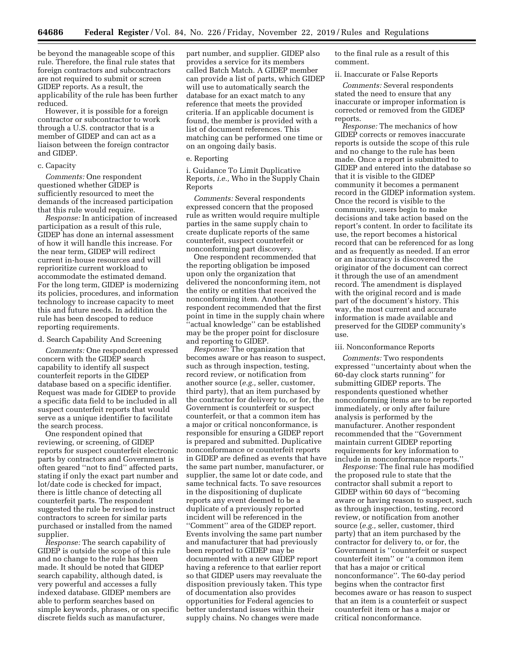be beyond the manageable scope of this rule. Therefore, the final rule states that foreign contractors and subcontractors are not required to submit or screen GIDEP reports. As a result, the applicability of the rule has been further reduced.

However, it is possible for a foreign contractor or subcontractor to work through a U.S. contractor that is a member of GIDEP and can act as a liaison between the foreign contractor and GIDEP.

#### c. Capacity

*Comments:* One respondent questioned whether GIDEP is sufficiently resourced to meet the demands of the increased participation that this rule would require.

*Response:* In anticipation of increased participation as a result of this rule, GIDEP has done an internal assessment of how it will handle this increase. For the near term, GIDEP will redirect current in-house resources and will reprioritize current workload to accommodate the estimated demand. For the long term, GIDEP is modernizing its policies, procedures, and information technology to increase capacity to meet this and future needs. In addition the rule has been descoped to reduce reporting requirements.

#### d. Search Capability And Screening

*Comments:* One respondent expressed concern with the GIDEP search capability to identify all suspect counterfeit reports in the GIDEP database based on a specific identifier. Request was made for GIDEP to provide a specific data field to be included in all suspect counterfeit reports that would serve as a unique identifier to facilitate the search process.

One respondent opined that reviewing, or screening, of GIDEP reports for suspect counterfeit electronic parts by contractors and Government is often geared ''not to find'' affected parts, stating if only the exact part number and lot/date code is checked for impact, there is little chance of detecting all counterfeit parts. The respondent suggested the rule be revised to instruct contractors to screen for similar parts purchased or installed from the named supplier.

*Response:* The search capability of GIDEP is outside the scope of this rule and no change to the rule has been made. It should be noted that GIDEP search capability, although dated, is very powerful and accesses a fully indexed database. GIDEP members are able to perform searches based on simple keywords, phrases, or on specific discrete fields such as manufacturer,

part number, and supplier. GIDEP also provides a service for its members called Batch Match. A GIDEP member can provide a list of parts, which GIDEP will use to automatically search the database for an exact match to any reference that meets the provided criteria. If an applicable document is found, the member is provided with a list of document references. This matching can be performed one time or on an ongoing daily basis.

#### e. Reporting

i. Guidance To Limit Duplicative Reports, *i.e.,* Who in the Supply Chain Reports

*Comments:* Several respondents expressed concern that the proposed rule as written would require multiple parties in the same supply chain to create duplicate reports of the same counterfeit, suspect counterfeit or nonconforming part discovery.

One respondent recommended that the reporting obligation be imposed upon only the organization that delivered the nonconforming item, not the entity or entities that received the nonconforming item. Another respondent recommended that the first point in time in the supply chain where 'actual knowledge'' can be established may be the proper point for disclosure and reporting to GIDEP.

*Response:* The organization that becomes aware or has reason to suspect, such as through inspection, testing, record review, or notification from another source (*e.g.,* seller, customer, third party), that an item purchased by the contractor for delivery to, or for, the Government is counterfeit or suspect counterfeit, or that a common item has a major or critical nonconformance, is responsible for ensuring a GIDEP report is prepared and submitted. Duplicative nonconformance or counterfeit reports in GIDEP are defined as events that have the same part number, manufacturer, or supplier, the same lot or date code, and same technical facts. To save resources in the dispositioning of duplicate reports any event deemed to be a duplicate of a previously reported incident will be referenced in the ''Comment'' area of the GIDEP report. Events involving the same part number and manufacturer that had previously been reported to GIDEP may be documented with a new GIDEP report having a reference to that earlier report so that GIDEP users may reevaluate the disposition previously taken. This type of documentation also provides opportunities for Federal agencies to better understand issues within their supply chains. No changes were made

to the final rule as a result of this comment.

#### ii. Inaccurate or False Reports

*Comments:* Several respondents stated the need to ensure that any inaccurate or improper information is corrected or removed from the GIDEP reports.

*Response:* The mechanics of how GIDEP corrects or removes inaccurate reports is outside the scope of this rule and no change to the rule has been made. Once a report is submitted to GIDEP and entered into the database so that it is visible to the GIDEP community it becomes a permanent record in the GIDEP information system. Once the record is visible to the community, users begin to make decisions and take action based on the report's content. In order to facilitate its use, the report becomes a historical record that can be referenced for as long and as frequently as needed. If an error or an inaccuracy is discovered the originator of the document can correct it through the use of an amendment record. The amendment is displayed with the original record and is made part of the document's history. This way, the most current and accurate information is made available and preserved for the GIDEP community's use.

#### iii. Nonconformance Reports

*Comments:* Two respondents expressed ''uncertainty about when the 60-day clock starts running'' for submitting GIDEP reports. The respondents questioned whether nonconforming items are to be reported immediately, or only after failure analysis is performed by the manufacturer. Another respondent recommended that the ''Government maintain current GIDEP reporting requirements for key information to include in nonconformance reports.''

*Response:* The final rule has modified the proposed rule to state that the contractor shall submit a report to GIDEP within 60 days of ''becoming aware or having reason to suspect, such as through inspection, testing, record review, or notification from another source (*e.g.,* seller, customer, third party) that an item purchased by the contractor for delivery to, or for, the Government is ''counterfeit or suspect counterfeit item'' or ''a common item that has a major or critical nonconformance''. The 60-day period begins when the contractor first becomes aware or has reason to suspect that an item is a counterfeit or suspect counterfeit item or has a major or critical nonconformance.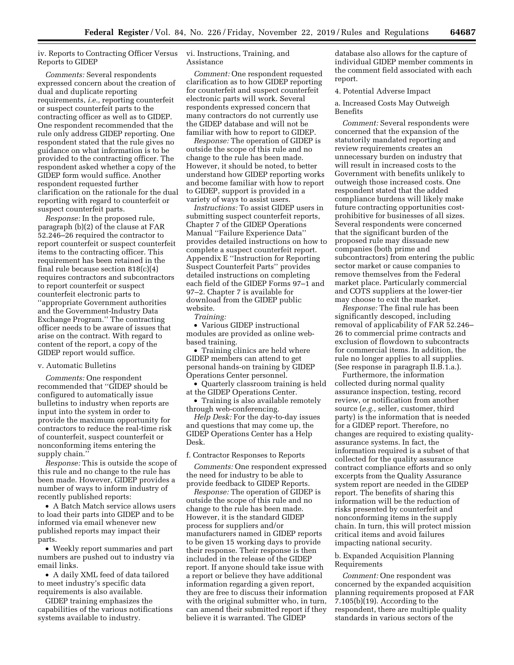# iv. Reports to Contracting Officer Versus Reports to GIDEP

*Comments:* Several respondents expressed concern about the creation of dual and duplicate reporting requirements, *i.e.,* reporting counterfeit or suspect counterfeit parts to the contracting officer as well as to GIDEP. One respondent recommended that the rule only address GIDEP reporting. One respondent stated that the rule gives no guidance on what information is to be provided to the contracting officer. The respondent asked whether a copy of the GIDEP form would suffice. Another respondent requested further clarification on the rationale for the dual reporting with regard to counterfeit or suspect counterfeit parts.

*Response:* In the proposed rule, paragraph (b)(2) of the clause at FAR 52.246–26 required the contractor to report counterfeit or suspect counterfeit items to the contracting officer. This requirement has been retained in the final rule because section 818(c)(4) requires contractors and subcontractors to report counterfeit or suspect counterfeit electronic parts to ''appropriate Government authorities and the Government-Industry Data Exchange Program.'' The contracting officer needs to be aware of issues that arise on the contract. With regard to content of the report, a copy of the GIDEP report would suffice.

## v. Automatic Bulletins

*Comments:* One respondent recommended that ''GIDEP should be configured to automatically issue bulletins to industry when reports are input into the system in order to provide the maximum opportunity for contractors to reduce the real-time risk of counterfeit, suspect counterfeit or nonconforming items entering the supply chain.''

*Response:* This is outside the scope of this rule and no change to the rule has been made. However, GIDEP provides a number of ways to inform industry of recently published reports:

• A Batch Match service allows users to load their parts into GIDEP and to be informed via email whenever new published reports may impact their parts.

• Weekly report summaries and part numbers are pushed out to industry via email links.

• A daily XML feed of data tailored to meet industry's specific data requirements is also available.

GIDEP training emphasizes the capabilities of the various notifications systems available to industry.

## vi. Instructions, Training, and Assistance

*Comment:* One respondent requested clarification as to how GIDEP reporting for counterfeit and suspect counterfeit electronic parts will work. Several respondents expressed concern that many contractors do not currently use the GIDEP database and will not be familiar with how to report to GIDEP.

*Response:* The operation of GIDEP is outside the scope of this rule and no change to the rule has been made. However, it should be noted, to better understand how GIDEP reporting works and become familiar with how to report to GIDEP, support is provided in a variety of ways to assist users.

*Instructions:* To assist GIDEP users in submitting suspect counterfeit reports, Chapter 7 of the GIDEP Operations Manual ''Failure Experience Data'' provides detailed instructions on how to complete a suspect counterfeit report. Appendix E ''Instruction for Reporting Suspect Counterfeit Parts'' provides detailed instructions on completing each field of the GIDEP Forms 97–1 and 97–2. Chapter 7 is available for download from the GIDEP public website.

*Training:* 

• Various GIDEP instructional modules are provided as online webbased training.

• Training clinics are held where GIDEP members can attend to get personal hands-on training by GIDEP Operations Center personnel.

• Quarterly classroom training is held at the GIDEP Operations Center.

• Training is also available remotely through web-conferencing.

*Help Desk:* For the day-to-day issues and questions that may come up, the GIDEP Operations Center has a Help Desk.

## f. Contractor Responses to Reports

*Comments:* One respondent expressed the need for industry to be able to provide feedback to GIDEP Reports.

*Response:* The operation of GIDEP is outside the scope of this rule and no change to the rule has been made. However, it is the standard GIDEP process for suppliers and/or manufacturers named in GIDEP reports to be given 15 working days to provide their response. Their response is then included in the release of the GIDEP report. If anyone should take issue with a report or believe they have additional information regarding a given report, they are free to discuss their information with the original submitter who, in turn, can amend their submitted report if they believe it is warranted. The GIDEP

database also allows for the capture of individual GIDEP member comments in the comment field associated with each report.

#### 4. Potential Adverse Impact

a. Increased Costs May Outweigh Benefits

*Comment:* Several respondents were concerned that the expansion of the statutorily mandated reporting and review requirements creates an unnecessary burden on industry that will result in increased costs to the Government with benefits unlikely to outweigh those increased costs. One respondent stated that the added compliance burdens will likely make future contracting opportunities costprohibitive for businesses of all sizes. Several respondents were concerned that the significant burden of the proposed rule may dissuade new companies (both prime and subcontractors) from entering the public sector market or cause companies to remove themselves from the Federal market place. Particularly commercial and COTS suppliers at the lower-tier may choose to exit the market.

*Response:* The final rule has been significantly descoped, including removal of applicability of FAR 52.246– 26 to commercial prime contracts and exclusion of flowdown to subcontracts for commercial items. In addition, the rule no longer applies to all supplies. (See response in paragraph II.B.1.a.).

Furthermore, the information collected during normal quality assurance inspection, testing, record review, or notification from another source (*e.g.,* seller, customer, third party) is the information that is needed for a GIDEP report. Therefore, no changes are required to existing qualityassurance systems. In fact, the information required is a subset of that collected for the quality assurance contract compliance efforts and so only excerpts from the Quality Assurance system report are needed in the GIDEP report. The benefits of sharing this information will be the reduction of risks presented by counterfeit and nonconforming items in the supply chain. In turn, this will protect mission critical items and avoid failures impacting national security.

## b. Expanded Acquisition Planning Requirements

*Comment:* One respondent was concerned by the expanded acquisition planning requirements proposed at FAR 7.105(b)(19). According to the respondent, there are multiple quality standards in various sectors of the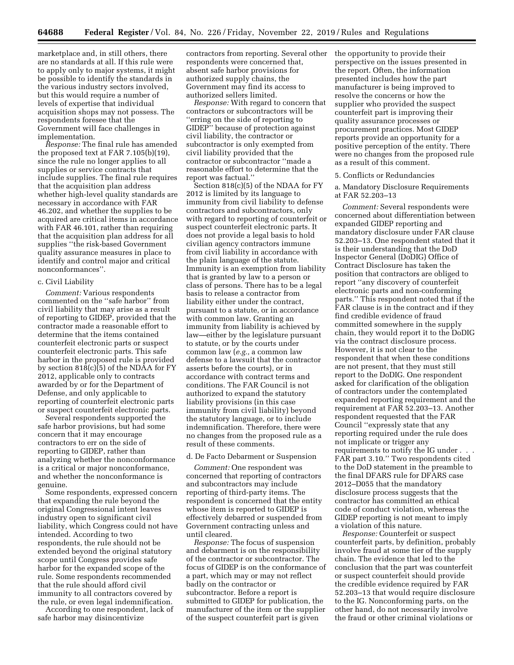marketplace and, in still others, there are no standards at all. If this rule were to apply only to major systems, it might be possible to identify the standards in the various industry sectors involved, but this would require a number of levels of expertise that individual acquisition shops may not possess. The respondents foresee that the Government will face challenges in implementation.

*Response:* The final rule has amended the proposed text at FAR 7.105(b)(19), since the rule no longer applies to all supplies or service contracts that include supplies. The final rule requires that the acquisition plan address whether high-level quality standards are necessary in accordance with FAR 46.202, and whether the supplies to be acquired are critical items in accordance with FAR 46.101, rather than requiring that the acquisition plan address for all supplies ''the risk-based Government quality assurance measures in place to identify and control major and critical nonconformances''.

#### c. Civil Liability

*Comment:* Various respondents commented on the ''safe harbor'' from civil liability that may arise as a result of reporting to GIDEP, provided that the contractor made a reasonable effort to determine that the items contained counterfeit electronic parts or suspect counterfeit electronic parts. This safe harbor in the proposed rule is provided by section 818(c)(5) of the NDAA for FY 2012, applicable only to contracts awarded by or for the Department of Defense, and only applicable to reporting of counterfeit electronic parts or suspect counterfeit electronic parts.

Several respondents supported the safe harbor provisions, but had some concern that it may encourage contractors to err on the side of reporting to GIDEP, rather than analyzing whether the nonconformance is a critical or major nonconformance, and whether the nonconformance is genuine.

Some respondents, expressed concern that expanding the rule beyond the original Congressional intent leaves industry open to significant civil liability, which Congress could not have intended. According to two respondents, the rule should not be extended beyond the original statutory scope until Congress provides safe harbor for the expanded scope of the rule. Some respondents recommended that the rule should afford civil immunity to all contractors covered by the rule, or even legal indemnification.

According to one respondent, lack of safe harbor may disincentivize

contractors from reporting. Several other respondents were concerned that, absent safe harbor provisions for authorized supply chains, the Government may find its access to authorized sellers limited.

*Response:* With regard to concern that contractors or subcontractors will be ''erring on the side of reporting to GIDEP'' because of protection against civil liability, the contractor or subcontractor is only exempted from civil liability provided that the contractor or subcontractor ''made a reasonable effort to determine that the report was factual.''

Section 818(c)(5) of the NDAA for FY 2012 is limited by its language to immunity from civil liability to defense contractors and subcontractors, only with regard to reporting of counterfeit or suspect counterfeit electronic parts. It does not provide a legal basis to hold civilian agency contractors immune from civil liability in accordance with the plain language of the statute. Immunity is an exemption from liability that is granted by law to a person or class of persons. There has to be a legal basis to release a contractor from liability either under the contract, pursuant to a statute, or in accordance with common law. Granting an immunity from liability is achieved by law—either by the legislature pursuant to statute, or by the courts under common law (*e.g.,* a common law defense to a lawsuit that the contractor asserts before the courts), or in accordance with contract terms and conditions. The FAR Council is not authorized to expand the statutory liability provisions (in this case immunity from civil liability) beyond the statutory language, or to include indemnification. Therefore, there were no changes from the proposed rule as a result of these comments.

# d. De Facto Debarment or Suspension

*Comment:* One respondent was concerned that reporting of contractors and subcontractors may include reporting of third-party items. The respondent is concerned that the entity whose item is reported to GIDEP is effectively debarred or suspended from Government contracting unless and until cleared.

*Response:* The focus of suspension and debarment is on the responsibility of the contractor or subcontractor. The focus of GIDEP is on the conformance of a part, which may or may not reflect badly on the contractor or subcontractor. Before a report is submitted to GIDEP for publication, the manufacturer of the item or the supplier of the suspect counterfeit part is given

the opportunity to provide their perspective on the issues presented in the report. Often, the information presented includes how the part manufacturer is being improved to resolve the concerns or how the supplier who provided the suspect counterfeit part is improving their quality assurance processes or procurement practices. Most GIDEP reports provide an opportunity for a positive perception of the entity. There were no changes from the proposed rule as a result of this comment.

5. Conflicts or Redundancies

a. Mandatory Disclosure Requirements at FAR 52.203–13

*Comment:* Several respondents were concerned about differentiation between expanded GIDEP reporting and mandatory disclosure under FAR clause 52.203–13. One respondent stated that it is their understanding that the DoD Inspector General (DoDIG) Office of Contract Disclosure has taken the position that contractors are obliged to report ''any discovery of counterfeit electronic parts and non-conforming parts.'' This respondent noted that if the FAR clause is in the contract and if they find credible evidence of fraud committed somewhere in the supply chain, they would report it to the DoDIG via the contract disclosure process. However, it is not clear to the respondent that when these conditions are not present, that they must still report to the DoDIG. One respondent asked for clarification of the obligation of contractors under the contemplated expanded reporting requirement and the requirement at FAR 52.203–13. Another respondent requested that the FAR Council ''expressly state that any reporting required under the rule does not implicate or trigger any requirements to notify the IG under . . . FAR part 3.10.'' Two respondents cited to the DoD statement in the preamble to the final DFARS rule for DFARS case 2012–D055 that the mandatory disclosure process suggests that the contractor has committed an ethical code of conduct violation, whereas the GIDEP reporting is not meant to imply a violation of this nature.

*Response:* Counterfeit or suspect counterfeit parts, by definition, probably involve fraud at some tier of the supply chain. The evidence that led to the conclusion that the part was counterfeit or suspect counterfeit should provide the credible evidence required by FAR 52.203–13 that would require disclosure to the IG. Nonconforming parts, on the other hand, do not necessarily involve the fraud or other criminal violations or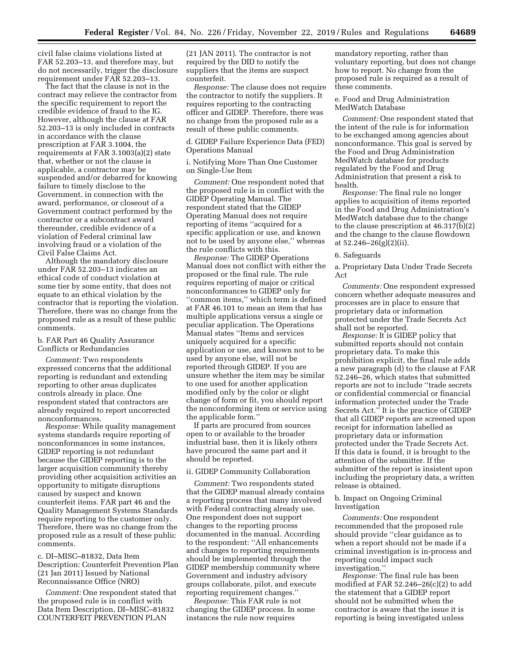civil false claims violations listed at FAR 52.203–13, and therefore may, but do not necessarily, trigger the disclosure requirement under FAR 52.203–13.

The fact that the clause is not in the contract may relieve the contractor from the specific requirement to report the credible evidence of fraud to the IG. However, although the clause at FAR 52.203–13 is only included in contracts in accordance with the clause prescription at FAR 3.1004, the requirements at FAR 3.1003(a)(2) state that, whether or not the clause is applicable, a contractor may be suspended and/or debarred for knowing failure to timely disclose to the Government, in connection with the award, performance, or closeout of a Government contract performed by the contractor or a subcontract award thereunder, credible evidence of a violation of Federal criminal law involving fraud or a violation of the Civil False Claims Act.

Although the mandatory disclosure under FAR 52.203–13 indicates an ethical code of conduct violation at some tier by some entity, that does not equate to an ethical violation by the contractor that is reporting the violation. Therefore, there was no change from the proposed rule as a result of these public comments.

## b. FAR Part 46 Quality Assurance Conflicts or Redundancies

*Comment:* Two respondents expressed concerns that the additional reporting is redundant and extending reporting to other areas duplicates controls already in place. One respondent stated that contractors are already required to report uncorrected nonconformances.

*Response:* While quality management systems standards require reporting of nonconformances in some instances, GIDEP reporting is not redundant because the GIDEP reporting is to the larger acquisition community thereby providing other acquisition activities an opportunity to mitigate disruptions caused by suspect and known counterfeit items. FAR part 46 and the Quality Management Systems Standards require reporting to the customer only. Therefore, there was no change from the proposed rule as a result of these public comments.

## c. DI–MISC–81832, Data Item Description: Counterfeit Prevention Plan (21 Jan 2011) Issued by National Reconnaissance Office (NRO)

*Comment:* One respondent stated that the proposed rule is in conflict with Data Item Description, DI–MISC–81832 COUNTERFEIT PREVENTION PLAN

(21 JAN 2011). The contractor is not required by the DID to notify the suppliers that the items are suspect counterfeit.

*Response:* The clause does not require the contractor to notify the suppliers. It requires reporting to the contracting officer and GIDEP. Therefore, there was no change from the proposed rule as a result of these public comments.

d. GIDEP Failure Experience Data (FED) Operations Manual

i. Notifying More Than One Customer on Single-Use Item

*Comment:* One respondent noted that the proposed rule is in conflict with the GIDEP Operating Manual. The respondent stated that the GIDEP Operating Manual does not require reporting of items ''acquired for a specific application or use, and known not to be used by anyone else,'' whereas the rule conflicts with this.

*Response:* The GIDEP Operations Manual does not conflict with either the proposed or the final rule. The rule requires reporting of major or critical nonconformances to GIDEP only for ''common items,'' which term is defined at FAR 46.101 to mean an item that has multiple applications versus a single or peculiar application. The Operations Manual states ''Items and services uniquely acquired for a specific application or use, and known not to be used by anyone else, will not be reported through GIDEP. If you are unsure whether the item may be similar to one used for another application modified only by the color or slight change of form or fit, you should report the nonconforming item or service using the applicable form.''

If parts are procured from sources open to or available to the broader industrial base, then it is likely others have procured the same part and it should be reported.

#### ii. GIDEP Community Collaboration

*Comment:* Two respondents stated that the GIDEP manual already contains a reporting process that many involved with Federal contracting already use. One respondent does not support changes to the reporting process documented in the manual. According to the respondent: ''All enhancements and changes to reporting requirements should be implemented through the GIDEP membership community where Government and industry advisory groups collaborate, pilot, and execute reporting requirement changes.''

*Response:* This FAR rule is not changing the GIDEP process. In some instances the rule now requires

mandatory reporting, rather than voluntary reporting, but does not change how to report. No change from the proposed rule is required as a result of these comments.

e. Food and Drug Administration MedWatch Database

*Comment:* One respondent stated that the intent of the rule is for information to be exchanged among agencies about nonconformance. This goal is served by the Food and Drug Administration MedWatch database for products regulated by the Food and Drug Administration that present a risk to health.

*Response:* The final rule no longer applies to acquisition of items reported in the Food and Drug Administration's MedWatch database due to the change to the clause prescription at 46.317(b)(2) and the change to the clause flowdown at 52.246–26(g)(2)(ii).

#### 6. Safeguards

a. Proprietary Data Under Trade Secrets Act

*Comments:* One respondent expressed concern whether adequate measures and processes are in place to ensure that proprietary data or information protected under the Trade Secrets Act shall not be reported.

*Response:* It is GIDEP policy that submitted reports should not contain proprietary data. To make this prohibition explicit, the final rule adds a new paragraph (d) to the clause at FAR 52.246–26, which states that submitted reports are not to include ''trade secrets or confidential commercial or financial information protected under the Trade Secrets Act.'' It is the practice of GIDEP that all GIDEP reports are screened upon receipt for information labelled as proprietary data or information protected under the Trade Secrets Act. If this data is found, it is brought to the attention of the submitter. If the submitter of the report is insistent upon including the proprietary data, a written release is obtained.

## b. Impact on Ongoing Criminal Investigation

*Comments:* One respondent recommended that the proposed rule should provide ''clear guidance as to when a report should not be made if a criminal investigation is in-process and reporting could impact such investigation.''

*Response:* The final rule has been modified at FAR 52.246–26(c)(2) to add the statement that a GIDEP report should not be submitted when the contractor is aware that the issue it is reporting is being investigated unless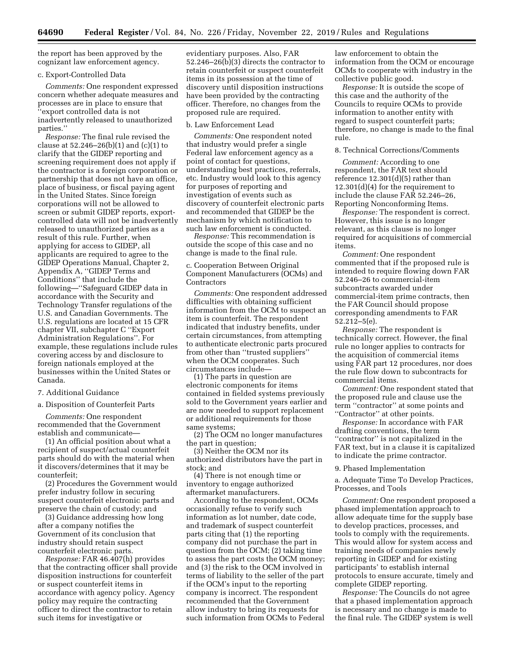the report has been approved by the cognizant law enforcement agency.

## c. Export-Controlled Data

*Comments:* One respondent expressed concern whether adequate measures and processes are in place to ensure that ''export controlled data is not inadvertently released to unauthorized parties.''

*Response:* The final rule revised the clause at 52.246–26(b)(1) and (c)(1) to clarify that the GIDEP reporting and screening requirement does not apply if the contractor is a foreign corporation or partnership that does not have an office, place of business, or fiscal paying agent in the United States. Since foreign corporations will not be allowed to screen or submit GIDEP reports, exportcontrolled data will not be inadvertently released to unauthorized parties as a result of this rule. Further, when applying for access to GIDEP, all applicants are required to agree to the GIDEP Operations Manual, Chapter 2, Appendix A, ''GIDEP Terms and Conditions'' that include the following—''Safeguard GIDEP data in accordance with the Security and Technology Transfer regulations of the U.S. and Canadian Governments. The U.S. regulations are located at 15 CFR chapter VII, subchapter C ''Export Administration Regulations''. For example, these regulations include rules covering access by and disclosure to foreign nationals employed at the businesses within the United States or Canada.

7. Additional Guidance

a. Disposition of Counterfeit Parts

*Comments:* One respondent recommended that the Government establish and communicate—

(1) An official position about what a recipient of suspect/actual counterfeit parts should do with the material when it discovers/determines that it may be counterfeit;

(2) Procedures the Government would prefer industry follow in securing suspect counterfeit electronic parts and preserve the chain of custody; and

(3) Guidance addressing how long after a company notifies the Government of its conclusion that industry should retain suspect counterfeit electronic parts.

*Response:* FAR 46.407(h) provides that the contracting officer shall provide disposition instructions for counterfeit or suspect counterfeit items in accordance with agency policy. Agency policy may require the contracting officer to direct the contractor to retain such items for investigative or

evidentiary purposes. Also, FAR 52.246–26(b)(3) directs the contractor to retain counterfeit or suspect counterfeit items in its possession at the time of discovery until disposition instructions have been provided by the contracting officer. Therefore, no changes from the proposed rule are required.

#### b. Law Enforcement Lead

*Comments:* One respondent noted that industry would prefer a single Federal law enforcement agency as a point of contact for questions, understanding best practices, referrals, etc. Industry would look to this agency for purposes of reporting and investigation of events such as discovery of counterfeit electronic parts and recommended that GIDEP be the mechanism by which notification to such law enforcement is conducted.

*Response:* This recommendation is outside the scope of this case and no change is made to the final rule.

c. Cooperation Between Original Component Manufacturers (OCMs) and **Contractors** 

*Comments:* One respondent addressed difficulties with obtaining sufficient information from the OCM to suspect an item is counterfeit. The respondent indicated that industry benefits, under certain circumstances, from attempting to authenticate electronic parts procured from other than ''trusted suppliers'' when the OCM cooperates. Such circumstances include—

(1) The parts in question are electronic components for items contained in fielded systems previously sold to the Government years earlier and are now needed to support replacement or additional requirements for those same systems;

(2) The OCM no longer manufactures the part in question;

(3) Neither the OCM nor its authorized distributors have the part in stock; and

(4) There is not enough time or inventory to engage authorized aftermarket manufacturers.

According to the respondent, OCMs occasionally refuse to verify such information as lot number, date code, and trademark of suspect counterfeit parts citing that (1) the reporting company did not purchase the part in question from the OCM; (2) taking time to assess the part costs the OCM money; and (3) the risk to the OCM involved in terms of liability to the seller of the part if the OCM's input to the reporting company is incorrect. The respondent recommended that the Government allow industry to bring its requests for such information from OCMs to Federal

law enforcement to obtain the information from the OCM or encourage OCMs to cooperate with industry in the collective public good.

*Response:* It is outside the scope of this case and the authority of the Councils to require OCMs to provide information to another entity with regard to suspect counterfeit parts; therefore, no change is made to the final rule.

#### 8. Technical Corrections/Comments

*Comment:* According to one respondent, the FAR text should reference 12.301(d)(5) rather than 12.301(d)(4) for the requirement to include the clause FAR 52.246–26, Reporting Nonconforming Items.

*Response:* The respondent is correct. However, this issue is no longer relevant, as this clause is no longer required for acquisitions of commercial items.

*Comment:* One respondent commented that if the proposed rule is intended to require flowing down FAR 52.246–26 to commercial-item subcontracts awarded under commercial-item prime contracts, then the FAR Council should propose corresponding amendments to FAR 52.212–5(e).

*Response:* The respondent is technically correct. However, the final rule no longer applies to contracts for the acquisition of commercial items using FAR part 12 procedures, nor does the rule flow down to subcontracts for commercial items.

*Comment:* One respondent stated that the proposed rule and clause use the term ''contractor'' at some points and ''Contractor'' at other points.

*Response:* In accordance with FAR drafting conventions, the term ''contractor'' is not capitalized in the FAR text, but in a clause it is capitalized to indicate the prime contractor.

9. Phased Implementation

a. Adequate Time To Develop Practices, Processes, and Tools

*Comment:* One respondent proposed a phased implementation approach to allow adequate time for the supply base to develop practices, processes, and tools to comply with the requirements. This would allow for system access and training needs of companies newly reporting in GIDEP and for existing participants' to establish internal protocols to ensure accurate, timely and complete GIDEP reporting.

*Response:* The Councils do not agree that a phased implementation approach is necessary and no change is made to the final rule. The GIDEP system is well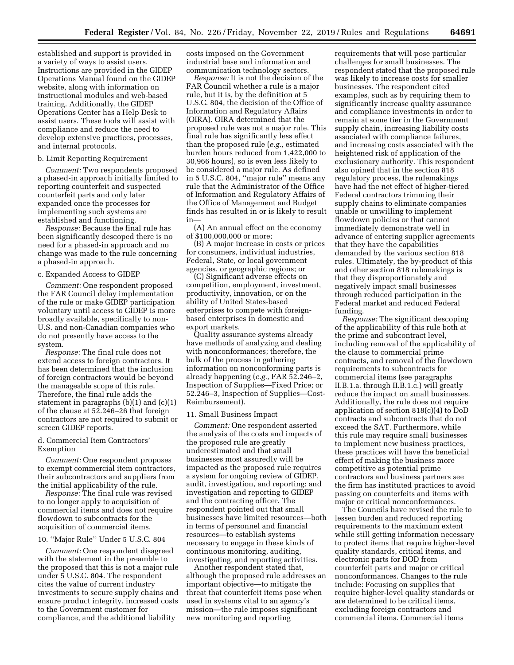established and support is provided in a variety of ways to assist users. Instructions are provided in the GIDEP Operations Manual found on the GIDEP website, along with information on instructional modules and web-based training. Additionally, the GIDEP Operations Center has a Help Desk to assist users. These tools will assist with compliance and reduce the need to develop extensive practices, processes, and internal protocols.

#### b. Limit Reporting Requirement

*Comment:* Two respondents proposed a phased-in approach initially limited to reporting counterfeit and suspected counterfeit parts and only later expanded once the processes for implementing such systems are established and functioning.

*Response:* Because the final rule has been significantly descoped there is no need for a phased-in approach and no change was made to the rule concerning a phased-in approach.

#### c. Expanded Access to GIDEP

*Comment:* One respondent proposed the FAR Council delay implementation of the rule or make GIDEP participation voluntary until access to GIDEP is more broadly available, specifically to non-U.S. and non-Canadian companies who do not presently have access to the system.

*Response:* The final rule does not extend access to foreign contractors. It has been determined that the inclusion of foreign contractors would be beyond the manageable scope of this rule. Therefore, the final rule adds the statement in paragraphs (b)(1) and (c)(1) of the clause at 52.246–26 that foreign contractors are not required to submit or screen GIDEP reports.

## d. Commercial Item Contractors' Exemption

*Comment:* One respondent proposes to exempt commercial item contractors, their subcontractors and suppliers from the initial applicability of the rule.

*Response:* The final rule was revised to no longer apply to acquisition of commercial items and does not require flowdown to subcontracts for the acquisition of commercial items.

# 10. ''Major Rule'' Under 5 U.S.C. 804

*Comment:* One respondent disagreed with the statement in the preamble to the proposed that this is not a major rule under 5 U.S.C. 804. The respondent cites the value of current industry investments to secure supply chains and ensure product integrity, increased costs to the Government customer for compliance, and the additional liability

costs imposed on the Government industrial base and information and communication technology sectors.

*Response:* It is not the decision of the FAR Council whether a rule is a major rule, but it is, by the definition at 5 U.S.C. 804, the decision of the Office of Information and Regulatory Affairs (OIRA). OIRA determined that the proposed rule was not a major rule. This final rule has significantly less effect than the proposed rule (*e.g.,* estimated burden hours reduced from 1,422,000 to 30,966 hours), so is even less likely to be considered a major rule. As defined in 5 U.S.C. 804, ''major rule'' means any rule that the Administrator of the Office of Information and Regulatory Affairs of the Office of Management and Budget finds has resulted in or is likely to result in—

(A) An annual effect on the economy of \$100,000,000 or more;

(B) A major increase in costs or prices for consumers, individual industries, Federal, State, or local government agencies, or geographic regions; or

(C) Significant adverse effects on competition, employment, investment, productivity, innovation, or on the ability of United States-based enterprises to compete with foreignbased enterprises in domestic and export markets.

Quality assurance systems already have methods of analyzing and dealing with nonconformances; therefore, the bulk of the process in gathering information on nonconforming parts is already happening (*e.g.,* FAR 52.246–2, Inspection of Supplies—Fixed Price; or 52.246–3, Inspection of Supplies—Cost-Reimbursement).

#### 11. Small Business Impact

*Comment:* One respondent asserted the analysis of the costs and impacts of the proposed rule are greatly underestimated and that small businesses most assuredly will be impacted as the proposed rule requires a system for ongoing review of GIDEP, audit, investigation, and reporting; and investigation and reporting to GIDEP and the contracting officer. The respondent pointed out that small businesses have limited resources—both in terms of personnel and financial resources—to establish systems necessary to engage in these kinds of continuous monitoring, auditing, investigating, and reporting activities.

Another respondent stated that, although the proposed rule addresses an important objective—to mitigate the threat that counterfeit items pose when used in systems vital to an agency's mission—the rule imposes significant new monitoring and reporting

requirements that will pose particular challenges for small businesses. The respondent stated that the proposed rule was likely to increase costs for smaller businesses. The respondent cited examples, such as by requiring them to significantly increase quality assurance and compliance investments in order to remain at some tier in the Government supply chain, increasing liability costs associated with compliance failures, and increasing costs associated with the heightened risk of application of the exclusionary authority. This respondent also opined that in the section 818 regulatory process, the rulemakings have had the net effect of higher-tiered Federal contractors trimming their supply chains to eliminate companies unable or unwilling to implement flowdown policies or that cannot immediately demonstrate well in advance of entering supplier agreements that they have the capabilities demanded by the various section 818 rules. Ultimately, the by-product of this and other section 818 rulemakings is that they disproportionately and negatively impact small businesses through reduced participation in the Federal market and reduced Federal funding.

*Response:* The significant descoping of the applicability of this rule both at the prime and subcontract level, including removal of the applicability of the clause to commercial prime contracts, and removal of the flowdown requirements to subcontracts for commercial items (see paragraphs II.B.1.a. through II.B.1.c.) will greatly reduce the impact on small businesses. Additionally, the rule does not require application of section 818(c)(4) to DoD contracts and subcontracts that do not exceed the SAT. Furthermore, while this rule may require small businesses to implement new business practices, these practices will have the beneficial effect of making the business more competitive as potential prime contractors and business partners see the firm has instituted practices to avoid passing on counterfeits and items with major or critical nonconformances.

The Councils have revised the rule to lessen burden and reduced reporting requirements to the maximum extent while still getting information necessary to protect items that require higher-level quality standards, critical items, and electronic parts for DOD from counterfeit parts and major or critical nonconformances. Changes to the rule include: Focusing on supplies that require higher-level quality standards or are determined to be critical items, excluding foreign contractors and commercial items. Commercial items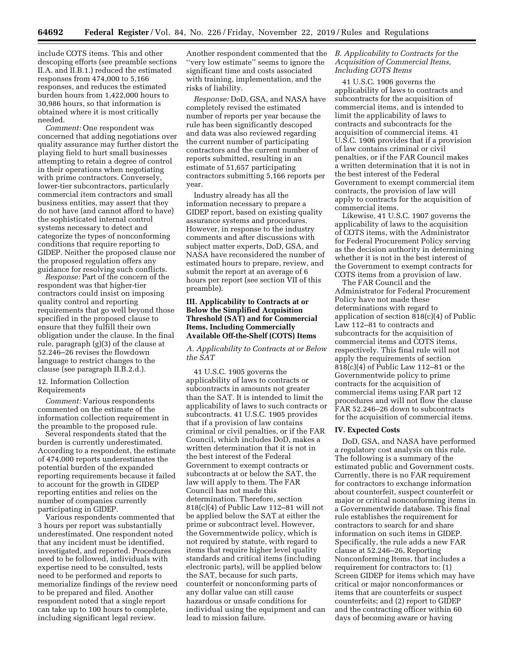include COTS items. This and other descoping efforts (see preamble sections II.A. and II.B.1.) reduced the estimated responses from 474,000 to 5,166 responses, and reduces the estimated burden hours from 1,422,000 hours to 30,986 hours, so that information is obtained where it is most critically needed.

*Comment:* One respondent was concerned that adding negotiations over quality assurance may further distort the playing field to hurt small businesses attempting to retain a degree of control in their operations when negotiating with prime contractors. Conversely, lower-tier subcontractors, particularly commercial item contractors and small business entities, may assert that they do not have (and cannot afford to have) the sophisticated internal control systems necessary to detect and categorize the types of nonconforming conditions that require reporting to GIDEP. Neither the proposed clause nor the proposed regulation offers any guidance for resolving such conflicts.

*Response:* Part of the concern of the respondent was that higher-tier contractors could insist on imposing quality control and reporting requirements that go well beyond those specified in the proposed clause to ensure that they fulfill their own obligation under the clause. In the final rule, paragraph (g)(3) of the clause at 52.246–26 revises the flowdown language to restrict changes to the clause (see paragraph II.B.2.d.).

### 12. Information Collection Requirements

*Comment:* Various respondents commented on the estimate of the information collection requirement in the preamble to the proposed rule.

Several respondents stated that the burden is currently underestimated. According to a respondent, the estimate of 474,000 reports underestimates the potential burden of the expanded reporting requirements because it failed to account for the growth in GIDEP reporting entities and relies on the number of companies currently participating in GIDEP.

Various respondents commented that 3 hours per report was substantially underestimated. One respondent noted that any incident must be identified, investigated, and reported. Procedures need to be followed, individuals with expertise need to be consulted, tests need to be performed and reports to memorialize findings of the review need to be prepared and filed. Another respondent noted that a single report can take up to 100 hours to complete, including significant legal review.

Another respondent commented that the ''very low estimate'' seems to ignore the significant time and costs associated with training, implementation, and the risks of liability.

*Response:* DoD, GSA, and NASA have completely revised the estimated number of reports per year because the rule has been significantly descoped and data was also reviewed regarding the current number of participating contractors and the current number of reports submitted, resulting in an estimate of 51,657 participating contractors submitting 5,166 reports per year.

Industry already has all the information necessary to prepare a GIDEP report, based on existing quality assurance systems and procedures. However, in response to the industry comments and after discussions with subject matter experts, DoD, GSA, and NASA have reconsidered the number of estimated hours to prepare, review, and submit the report at an average of 6 hours per report (see section VII of this preamble).

# **III. Applicability to Contracts at or Below the Simplified Acquisition Threshold (SAT) and for Commercial Items, Including Commercially Available Off-the-Shelf (COTS) Items**

*A. Applicability to Contracts at or Below the SAT* 

41 U.S.C. 1905 governs the applicability of laws to contracts or subcontracts in amounts not greater than the SAT. It is intended to limit the applicability of laws to such contracts or subcontracts. 41 U.S.C. 1905 provides that if a provision of law contains criminal or civil penalties, or if the FAR Council, which includes DoD, makes a written determination that it is not in the best interest of the Federal Government to exempt contracts or subcontracts at or below the SAT, the law will apply to them. The FAR Council has not made this determination. Therefore, section 818(c)(4) of Public Law 112–81 will not be applied below the SAT at either the prime or subcontract level. However, the Governmentwide policy, which is not required by statute, with regard to items that require higher level quality standards and critical items (including electronic parts), will be applied below the SAT, because for such parts, counterfeit or nonconforming parts of any dollar value can still cause hazardous or unsafe conditions for individual using the equipment and can lead to mission failure.

# *B. Applicability to Contracts for the Acquisition of Commercial Items, Including COTS Items*

41 U.S.C. 1906 governs the applicability of laws to contracts and subcontracts for the acquisition of commercial items, and is intended to limit the applicability of laws to contracts and subcontracts for the acquisition of commercial items. 41 U.S.C. 1906 provides that if a provision of law contains criminal or civil penalties, or if the FAR Council makes a written determination that it is not in the best interest of the Federal Government to exempt commercial item contracts, the provision of law will apply to contracts for the acquisition of commercial items.

Likewise, 41 U.S.C. 1907 governs the applicability of laws to the acquisition of COTS items, with the Administrator for Federal Procurement Policy serving as the decision authority in determining whether it is not in the best interest of the Government to exempt contracts for COTS items from a provision of law.

The FAR Council and the Administrator for Federal Procurement Policy have not made these determinations with regard to application of section 818(c)(4) of Public Law 112–81 to contracts and subcontracts for the acquisition of commercial items and COTS items, respectively. This final rule will not apply the requirements of section 818(c)(4) of Public Law 112–81 or the Governmentwide policy to prime contracts for the acquisition of commercial items using FAR part 12 procedures and will not flow the clause FAR 52.246–26 down to subcontracts for the acquisition of commercial items.

# **IV. Expected Costs**

DoD, GSA, and NASA have performed a regulatory cost analysis on this rule. The following is a summary of the estimated public and Government costs. Currently, there is no FAR requirement for contractors to exchange information about counterfeit, suspect counterfeit or major or critical nonconforming items in a Governmentwide database. This final rule establishes the requirement for contractors to search for and share information on such items in GIDEP. Specifically, the rule adds a new FAR clause at 52.246–26, Reporting Nonconforming Items, that includes a requirement for contractors to: (1) Screen GIDEP for items which may have critical or major nonconformances or items that are counterfeits or suspect counterfeits; and (2) report to GIDEP and the contracting officer within 60 days of becoming aware or having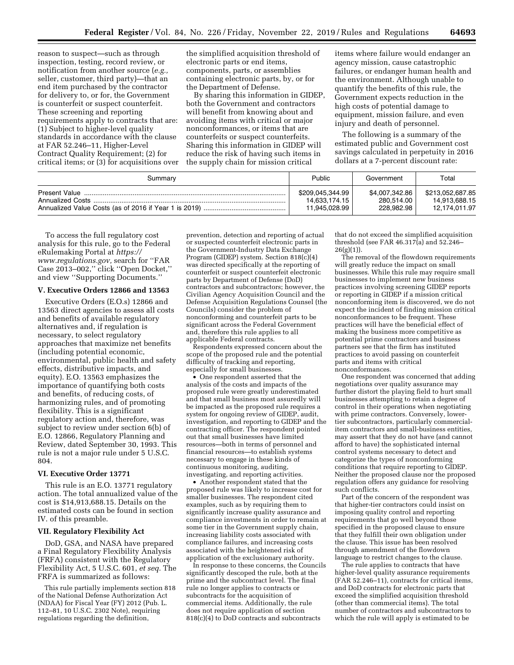reason to suspect—such as through inspection, testing, record review, or notification from another source (*e.g.,*  seller, customer, third party)—that an end item purchased by the contractor for delivery to, or for, the Government is counterfeit or suspect counterfeit. These screening and reporting requirements apply to contracts that are: (1) Subject to higher-level quality standards in accordance with the clause at FAR 52.246–11, Higher-Level Contract Quality Requirement; (2) for critical items; or (3) for acquisitions over the simplified acquisition threshold of electronic parts or end items, components, parts, or assemblies containing electronic parts, by, or for the Department of Defense.

By sharing this information in GIDEP, both the Government and contractors will benefit from knowing about and avoiding items with critical or major nonconformances, or items that are counterfeits or suspect counterfeits. Sharing this information in GIDEP will reduce the risk of having such items in the supply chain for mission critical

items where failure would endanger an agency mission, cause catastrophic failures, or endanger human health and the environment. Although unable to quantify the benefits of this rule, the Government expects reduction in the high costs of potential damage to equipment, mission failure, and even injury and death of personnel.

The following is a summary of the estimated public and Government cost savings calculated in perpetuity in 2016 dollars at a 7-percent discount rate:

| Summary          | <b>Public</b>                                      | Government                                 | Total                                              |
|------------------|----------------------------------------------------|--------------------------------------------|----------------------------------------------------|
| Annualized Costs | \$209,045,344.99<br>14.633.174.15<br>11.945.028.99 | \$4.007.342.86<br>280.514.00<br>228.982.98 | \$213.052.687.85<br>14.913.688.15<br>12.174.011.97 |

To access the full regulatory cost analysis for this rule, go to the Federal eRulemaking Portal at *[https://](https://www.regulations.gov) [www.regulations.gov,](https://www.regulations.gov)* search for ''FAR Case 2013–002,'' click ''Open Docket,'' and view ''Supporting Documents.''

## **V. Executive Orders 12866 and 13563**

Executive Orders (E.O.s) 12866 and 13563 direct agencies to assess all costs and benefits of available regulatory alternatives and, if regulation is necessary, to select regulatory approaches that maximize net benefits (including potential economic, environmental, public health and safety effects, distributive impacts, and equity). E.O. 13563 emphasizes the importance of quantifying both costs and benefits, of reducing costs, of harmonizing rules, and of promoting flexibility. This is a significant regulatory action and, therefore, was subject to review under section 6(b) of E.O. 12866, Regulatory Planning and Review, dated September 30, 1993. This rule is not a major rule under 5 U.S.C. 804.

#### **VI. Executive Order 13771**

This rule is an E.O. 13771 regulatory action. The total annualized value of the cost is \$14,913,688.15. Details on the estimated costs can be found in section IV. of this preamble.

#### **VII. Regulatory Flexibility Act**

DoD, GSA, and NASA have prepared a Final Regulatory Flexibility Analysis (FRFA) consistent with the Regulatory Flexibility Act, 5 U.S.C. 601, *et seq.* The FRFA is summarized as follows:

This rule partially implements section 818 of the National Defense Authorization Act (NDAA) for Fiscal Year (FY) 2012 (Pub. L. 112–81, 10 U.S.C. 2302 Note), requiring regulations regarding the definition,

prevention, detection and reporting of actual or suspected counterfeit electronic parts in the Government-Industry Data Exchange Program (GIDEP) system. Section 818(c)(4) was directed specifically at the reporting of counterfeit or suspect counterfeit electronic parts by Department of Defense (DoD) contractors and subcontractors; however, the Civilian Agency Acquisition Council and the Defense Acquisition Regulations Counsel (the Councils) consider the problem of nonconforming and counterfeit parts to be significant across the Federal Government and, therefore this rule applies to all applicable Federal contracts.

Respondents expressed concern about the scope of the proposed rule and the potential difficulty of tracking and reporting, especially for small businesses.

• One respondent asserted that the analysis of the costs and impacts of the proposed rule were greatly underestimated and that small business most assuredly will be impacted as the proposed rule requires a system for ongoing review of GIDEP, audit, investigation, and reporting to GIDEP and the contracting officer. The respondent pointed out that small businesses have limited resources—both in terms of personnel and financial resources—to establish systems necessary to engage in these kinds of continuous monitoring, auditing, investigating, and reporting activities.

• Another respondent stated that the proposed rule was likely to increase cost for smaller businesses. The respondent cited examples, such as by requiring them to significantly increase quality assurance and compliance investments in order to remain at some tier in the Government supply chain, increasing liability costs associated with compliance failures, and increasing costs associated with the heightened risk of application of the exclusionary authority.

In response to these concerns, the Councils significantly descoped the rule, both at the prime and the subcontract level. The final rule no longer applies to contracts or subcontracts for the acquisition of commercial items. Additionally, the rule does not require application of section 818(c)(4) to DoD contracts and subcontracts

that do not exceed the simplified acquisition threshold (see FAR 46.317(a) and  $52.246-$ 26(g)(1)).

The removal of the flowdown requirements will greatly reduce the impact on small businesses. While this rule may require small businesses to implement new business practices involving screening GIDEP reports or reporting in GIDEP if a mission critical nonconforming item is discovered, we do not expect the incident of finding mission critical nonconformances to be frequent. These practices will have the beneficial effect of making the business more competitive as potential prime contractors and business partners see that the firm has instituted practices to avoid passing on counterfeit parts and items with critical nonconformances.

One respondent was concerned that adding negotiations over quality assurance may further distort the playing field to hurt small businesses attempting to retain a degree of control in their operations when negotiating with prime contractors. Conversely, lowertier subcontractors, particularly commercialitem contractors and small-business entities, may assert that they do not have (and cannot afford to have) the sophisticated internal control systems necessary to detect and categorize the types of nonconforming conditions that require reporting to GIDEP. Neither the proposed clause nor the proposed regulation offers any guidance for resolving such conflicts.

Part of the concern of the respondent was that higher-tier contractors could insist on imposing quality control and reporting requirements that go well beyond those specified in the proposed clause to ensure that they fulfill their own obligation under the clause. This issue has been resolved through amendment of the flowdown language to restrict changes to the clause.

The rule applies to contracts that have higher-level quality assurance requirements (FAR 52.246–11), contracts for critical items, and DoD contracts for electronic parts that exceed the simplified acquisition threshold (other than commercial items). The total number of contractors and subcontractors to which the rule will apply is estimated to be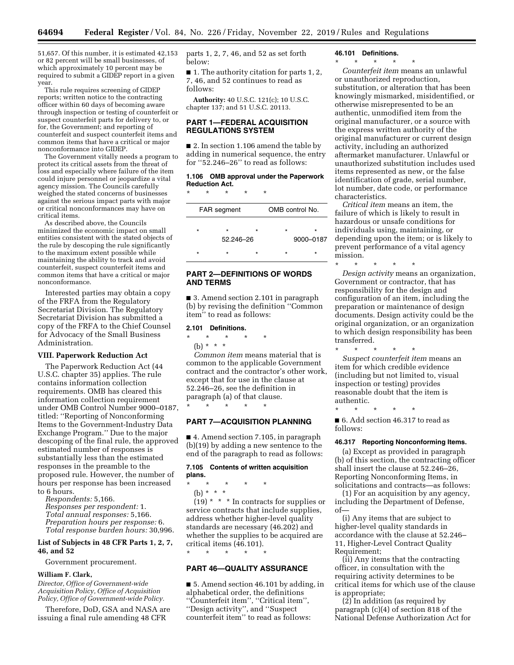51,657. Of this number, it is estimated 42,153 or 82 percent will be small businesses, of which approximately 10 percent may be required to submit a GIDEP report in a given year.

This rule requires screening of GIDEP reports; written notice to the contracting officer within 60 days of becoming aware through inspection or testing of counterfeit or suspect counterfeit parts for delivery to, or for, the Government; and reporting of counterfeit and suspect counterfeit items and common items that have a critical or major nonconformance into GIDEP.

The Government vitally needs a program to protect its critical assets from the threat of loss and especially where failure of the item could injure personnel or jeopardize a vital agency mission. The Councils carefully weighed the stated concerns of businesses against the serious impact parts with major or critical nonconformances may have on critical items.

As described above, the Councils minimized the economic impact on small entities consistent with the stated objects of the rule by descoping the rule significantly to the maximum extent possible while maintaining the ability to track and avoid counterfeit, suspect counterfeit items and common items that have a critical or major nonconformance.

Interested parties may obtain a copy of the FRFA from the Regulatory Secretariat Division. The Regulatory Secretariat Division has submitted a copy of the FRFA to the Chief Counsel for Advocacy of the Small Business Administration.

## **VIII. Paperwork Reduction Act**

The Paperwork Reduction Act (44 U.S.C. chapter 35) applies. The rule contains information collection requirements. OMB has cleared this information collection requirement under OMB Control Number 9000–0187, titled: ''Reporting of Nonconforming Items to the Government-Industry Data Exchange Program.'' Due to the major descoping of the final rule, the approved estimated number of responses is substantially less than the estimated responses in the preamble to the proposed rule. However, the number of hours per response has been increased to 6 hours.

*Respondents:* 5,166. *Responses per respondent:* 1. *Total annual responses:* 5,166. *Preparation hours per response:* 6. *Total response burden hours:* 30,996.

#### **List of Subjects in 48 CFR Parts 1, 2, 7, 46, and 52**

Government procurement.

#### **William F. Clark,**

*Director, Office of Government-wide Acquisition Policy, Office of Acquisition Policy, Office of Government-wide Policy.* 

Therefore, DoD, GSA and NASA are issuing a final rule amending 48 CFR

parts 1, 2, 7, 46, and 52 as set forth below:

■ 1. The authority citation for parts 1, 2, 7, 46, and 52 continues to read as follows:

**Authority:** 40 U.S.C. 121(c); 10 U.S.C. chapter 137; and 51 U.S.C. 20113.

## **PART 1—FEDERAL ACQUISITION REGULATIONS SYSTEM**

■ 2. In section 1.106 amend the table by adding in numerical sequence, the entry for  $"52.246-26"$  to read as follows:

#### **1.106 OMB approval under the Paperwork Reduction Act.**

\* \* \* \* \*

| <b>FAR</b> segment |               | OMB control No. |         |           |
|--------------------|---------------|-----------------|---------|-----------|
| $\star$            | $\star$       | $\star$         | $\star$ | $\star$   |
|                    | $52.246 - 26$ |                 |         | 9000-0187 |
| $\star$            | $\star$       | ÷               | ÷       | ÷         |

# **PART 2—DEFINITIONS OF WORDS AND TERMS**

■ 3. Amend section 2.101 in paragraph (b) by revising the definition ''Common item'' to read as follows:

## **2.101 Definitions.**

\* \* \* \* \* (b) \* \* \* *Common item* means material that is

common to the applicable Government contract and the contractor's other work, except that for use in the clause at 52.246–26, see the definition in paragraph (a) of that clause. \* \* \* \* \*

# **PART 7—ACQUISITION PLANNING**

■ 4. Amend section 7.105, in paragraph (b)(19) by adding a new sentence to the end of the paragraph to read as follows:

#### **7.105 Contents of written acquisition plans.**

- \* \* \* \* \*
	- (b) \* \* \*

(19) \* \* \* In contracts for supplies or service contracts that include supplies, address whether higher-level quality standards are necessary (46.202) and whether the supplies to be acquired are critical items (46.101).

#### \* \* \* \* \*

# **PART 46—QUALITY ASSURANCE**

■ 5. Amend section 46.101 by adding, in alphabetical order, the definitions ''Counterfeit item'', ''Critical item'', ''Design activity'', and ''Suspect counterfeit item'' to read as follows:

#### **46.101 Definitions.**

\* \* \* \* \*

*Counterfeit item* means an unlawful or unauthorized reproduction, substitution, or alteration that has been knowingly mismarked, misidentified, or otherwise misrepresented to be an authentic, unmodified item from the original manufacturer, or a source with the express written authority of the original manufacturer or current design activity, including an authorized aftermarket manufacturer. Unlawful or unauthorized substitution includes used items represented as new, or the false identification of grade, serial number, lot number, date code, or performance characteristics.

*Critical item* means an item, the failure of which is likely to result in hazardous or unsafe conditions for individuals using, maintaining, or depending upon the item; or is likely to prevent performance of a vital agency mission.

\* \* \* \* \* *Design activity* means an organization, Government or contractor, that has responsibility for the design and configuration of an item, including the preparation or maintenance of design documents. Design activity could be the original organization, or an organization to which design responsibility has been transferred.

\* \* \* \* \* *Suspect counterfeit item* means an item for which credible evidence (including but not limited to, visual inspection or testing) provides reasonable doubt that the item is authentic.

■ 6. Add section 46.317 to read as follows:

\* \* \* \* \*

# **46.317 Reporting Nonconforming Items.**

(a) Except as provided in paragraph (b) of this section, the contracting officer shall insert the clause at 52.246–26, Reporting Nonconforming Items, in solicitations and contracts—as follows:

(1) For an acquisition by any agency, including the Department of Defense, of—

(i) Any items that are subject to higher-level quality standards in accordance with the clause at 52.246– 11, Higher-Level Contract Quality Requirement;

(ii) Any items that the contracting officer, in consultation with the requiring activity determines to be critical items for which use of the clause is appropriate;

(2) In addition (as required by paragraph (c)(4) of section 818 of the National Defense Authorization Act for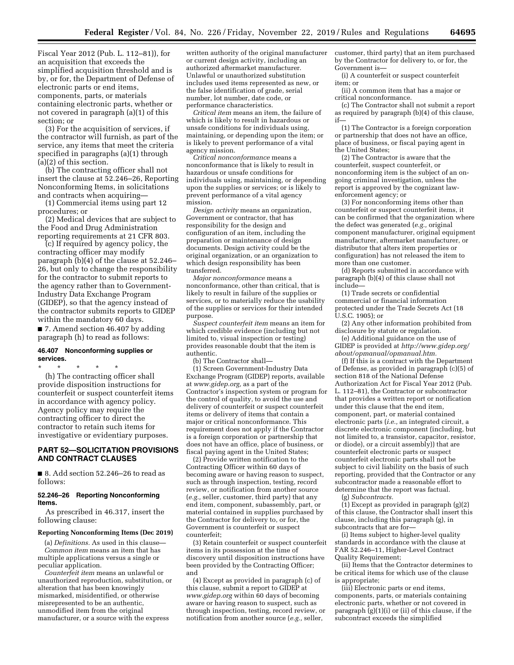Fiscal Year 2012 (Pub. L. 112–81)), for an acquisition that exceeds the simplified acquisition threshold and is by, or for, the Department of Defense of electronic parts or end items, components, parts, or materials containing electronic parts, whether or not covered in paragraph (a)(1) of this section; or

(3) For the acquisition of services, if the contractor will furnish, as part of the service, any items that meet the criteria specified in paragraphs (a)(1) through (a)(2) of this section.

(b) The contracting officer shall not insert the clause at 52.246–26, Reporting Nonconforming Items, in solicitations and contracts when acquiring—

(1) Commercial items using part 12 procedures; or

(2) Medical devices that are subject to the Food and Drug Administration reporting requirements at 21 CFR 803.

(c) If required by agency policy, the contracting officer may modify paragraph (b)(4) of the clause at 52.246– 26, but only to change the responsibility for the contractor to submit reports to the agency rather than to Government-Industry Data Exchange Program (GIDEP), so that the agency instead of the contractor submits reports to GIDEP within the mandatory 60 days.

■ 7. Amend section 46.407 by adding paragraph (h) to read as follows:

## **46.407 Nonconforming supplies or services.**

\* \* \* \* \* (h) The contracting officer shall provide disposition instructions for counterfeit or suspect counterfeit items in accordance with agency policy. Agency policy may require the contracting officer to direct the contractor to retain such items for investigative or evidentiary purposes.

# **PART 52—SOLICITATION PROVISIONS AND CONTRACT CLAUSES**

■ 8. Add section 52.246–26 to read as follows:

#### **52.246–26 Reporting Nonconforming Items.**

As prescribed in 46.317, insert the following clause:

#### **Reporting Nonconforming Items (Dec 2019)**

(a) *Definitions.* As used in this clause— *Common item* means an item that has multiple applications versus a single or peculiar application.

*Counterfeit item* means an unlawful or unauthorized reproduction, substitution, or alteration that has been knowingly mismarked, misidentified, or otherwise misrepresented to be an authentic, unmodified item from the original manufacturer, or a source with the express

written authority of the original manufacturer or current design activity, including an authorized aftermarket manufacturer. Unlawful or unauthorized substitution includes used items represented as new, or the false identification of grade, serial number, lot number, date code, or performance characteristics.

*Critical item* means an item, the failure of which is likely to result in hazardous or unsafe conditions for individuals using, maintaining, or depending upon the item; or is likely to prevent performance of a vital agency mission.

*Critical nonconformance* means a nonconformance that is likely to result in hazardous or unsafe conditions for individuals using, maintaining, or depending upon the supplies or services; or is likely to prevent performance of a vital agency mission.

*Design activity* means an organization, Government or contractor, that has responsibility for the design and configuration of an item, including the preparation or maintenance of design documents. Design activity could be the original organization, or an organization to which design responsibility has been transferred.

*Major nonconformance* means a nonconformance, other than critical, that is likely to result in failure of the supplies or services, or to materially reduce the usability of the supplies or services for their intended purpose.

*Suspect counterfeit item* means an item for which credible evidence (including but not limited to, visual inspection or testing) provides reasonable doubt that the item is authentic.

(b) The Contractor shall—

(1) Screen Government-Industry Data Exchange Program (GIDEP) reports, available at *[www.gidep.org,](http://www.gidep.org)* as a part of the Contractor's inspection system or program for the control of quality, to avoid the use and delivery of counterfeit or suspect counterfeit items or delivery of items that contain a major or critical nonconformance. This requirement does not apply if the Contractor is a foreign corporation or partnership that does not have an office, place of business, or fiscal paying agent in the United States;

(2) Provide written notification to the Contracting Officer within 60 days of becoming aware or having reason to suspect, such as through inspection, testing, record review, or notification from another source (*e.g.,* seller, customer, third party) that any end item, component, subassembly, part, or material contained in supplies purchased by the Contractor for delivery to, or for, the Government is counterfeit or suspect counterfeit;

(3) Retain counterfeit or suspect counterfeit items in its possession at the time of discovery until disposition instructions have been provided by the Contracting Officer; and

(4) Except as provided in paragraph (c) of this clause, submit a report to GIDEP at *[www.gidep.org](http://www.gidep.org)* within 60 days of becoming aware or having reason to suspect, such as through inspection, testing, record review, or notification from another source (*e.g.,* seller,

customer, third party) that an item purchased by the Contractor for delivery to, or for, the Government is—

(i) A counterfeit or suspect counterfeit item; or

(ii) A common item that has a major or critical nonconformance.

(c) The Contractor shall not submit a report as required by paragraph (b)(4) of this clause, if—

(1) The Contractor is a foreign corporation or partnership that does not have an office, place of business, or fiscal paying agent in the United States;

(2) The Contractor is aware that the counterfeit, suspect counterfeit, or nonconforming item is the subject of an ongoing criminal investigation, unless the report is approved by the cognizant lawenforcement agency; or

(3) For nonconforming items other than counterfeit or suspect counterfeit items, it can be confirmed that the organization where the defect was generated (*e.g.,* original component manufacturer, original equipment manufacturer, aftermarket manufacturer, or distributor that alters item properties or configuration) has not released the item to more than one customer.

(d) Reports submitted in accordance with paragraph (b)(4) of this clause shall not include—

(1) Trade secrets or confidential commercial or financial information protected under the Trade Secrets Act (18 U.S.C. 1905); or

(2) Any other information prohibited from disclosure by statute or regulation.

(e) Additional guidance on the use of GIDEP is provided at *[http://www.gidep.org/](http://www.gidep.org/about/opmanual/opmanual.htm) [about/opmanual/opmanual.htm.](http://www.gidep.org/about/opmanual/opmanual.htm)* 

(f) If this is a contract with the Department of Defense, as provided in paragraph (c)(5) of section 818 of the National Defense Authorization Act for Fiscal Year 2012 (Pub. L. 112–81), the Contractor or subcontractor that provides a written report or notification under this clause that the end item, component, part, or material contained electronic parts (*i.e.,* an integrated circuit, a discrete electronic component (including, but not limited to, a transistor, capacitor, resistor, or diode), or a circuit assembly)) that are counterfeit electronic parts or suspect counterfeit electronic parts shall not be subject to civil liability on the basis of such reporting, provided that the Contractor or any subcontractor made a reasonable effort to determine that the report was factual.

(g) *Subcontracts.* 

(1) Except as provided in paragraph (g)(2) of this clause, the Contractor shall insert this clause, including this paragraph (g), in subcontracts that are for—

(i) Items subject to higher-level quality standards in accordance with the clause at FAR 52.246–11, Higher-Level Contract Quality Requirement;

(ii) Items that the Contractor determines to be critical items for which use of the clause is appropriate;

(iii) Electronic parts or end items, components, parts, or materials containing electronic parts, whether or not covered in paragraph (g)(1)(i) or (ii) of this clause, if the subcontract exceeds the simplified